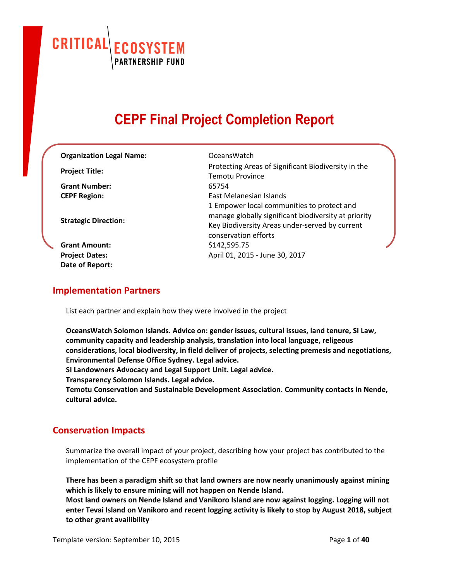CRITICAL **ECOSYSTEM**<br>PARTNERSHIP FUND

# **CEPF Final Project Completion Report**

| <b>Organization Legal Name:</b> | Oceans Watch                                                                                                                                                                 |
|---------------------------------|------------------------------------------------------------------------------------------------------------------------------------------------------------------------------|
| <b>Project Title:</b>           | Protecting Areas of Significant Biodiversity in the<br><b>Temotu Province</b>                                                                                                |
| <b>Grant Number:</b>            | 65754                                                                                                                                                                        |
| <b>CEPF Region:</b>             | East Melanesian Islands                                                                                                                                                      |
| <b>Strategic Direction:</b>     | 1 Empower local communities to protect and<br>manage globally significant biodiversity at priority<br>Key Biodiversity Areas under-served by current<br>conservation efforts |
| <b>Grant Amount:</b>            | \$142,595.75                                                                                                                                                                 |
| <b>Project Dates:</b>           | April 01, 2015 - June 30, 2017                                                                                                                                               |
| Date of Report:                 |                                                                                                                                                                              |

#### **Implementation Partners**

List each partner and explain how they were involved in the project

**OceansWatch Solomon Islands. Advice on: gender issues, cultural issues, land tenure, SI Law, community capacity and leadership analysis, translation into local language, religeous considerations, local biodiversity, in field deliver of projects, selecting premesis and negotiations, Environmental Defense Office Sydney. Legal advice.**

**SI Landowners Advocacy and Legal Support Unit. Legal advice.**

**Transparency Solomon Islands. Legal advice.**

**Temotu Conservation and Sustainable Development Association. Community contacts in Nende, cultural advice.**

## **Conservation Impacts**

Summarize the overall impact of your project, describing how your project has contributed to the implementation of the CEPF ecosystem profile

**There has been a paradigm shift so that land owners are now nearly unanimously against mining which is likely to ensure mining will not happen on Nende Island.**

**Most land owners on Nende Island and Vanikoro Island are now against logging. Logging will not enter Tevai Island on Vanikoro and recent logging activity is likely to stop by August 2018, subject to other grant availibility**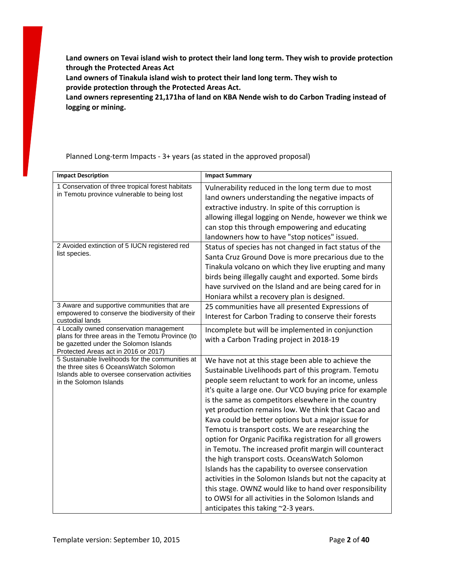**Land owners on Tevai island wish to protect their land long term. They wish to provide protection through the Protected Areas Act**

**Land owners of Tinakula island wish to protect their land long term. They wish to provide protection through the Protected Areas Act.**

**Land owners representing 21,171ha of land on KBA Nende wish to do Carbon Trading instead of logging or mining.**

Planned Long-term Impacts - 3+ years (as stated in the approved proposal)

| <b>Impact Description</b>                                                                                                                                                    | <b>Impact Summary</b>                                                                                                                                                                                                                                                                                                                                                                                                                                                                                                                                                                                                                                                                                                                                                                                                                                                                                       |
|------------------------------------------------------------------------------------------------------------------------------------------------------------------------------|-------------------------------------------------------------------------------------------------------------------------------------------------------------------------------------------------------------------------------------------------------------------------------------------------------------------------------------------------------------------------------------------------------------------------------------------------------------------------------------------------------------------------------------------------------------------------------------------------------------------------------------------------------------------------------------------------------------------------------------------------------------------------------------------------------------------------------------------------------------------------------------------------------------|
| 1 Conservation of three tropical forest habitats<br>in Temotu province vulnerable to being lost                                                                              | Vulnerability reduced in the long term due to most<br>land owners understanding the negative impacts of<br>extractive industry. In spite of this corruption is<br>allowing illegal logging on Nende, however we think we<br>can stop this through empowering and educating<br>landowners how to have "stop notices" issued.                                                                                                                                                                                                                                                                                                                                                                                                                                                                                                                                                                                 |
| 2 Avoided extinction of 5 IUCN registered red<br>list species.                                                                                                               | Status of species has not changed in fact status of the<br>Santa Cruz Ground Dove is more precarious due to the<br>Tinakula volcano on which they live erupting and many<br>birds being illegally caught and exported. Some birds<br>have survived on the Island and are being cared for in<br>Honiara whilst a recovery plan is designed.                                                                                                                                                                                                                                                                                                                                                                                                                                                                                                                                                                  |
| 3 Aware and supportive communities that are<br>empowered to conserve the biodiversity of their<br>custodial lands                                                            | 25 communities have all presented Expressions of<br>Interest for Carbon Trading to conserve their forests                                                                                                                                                                                                                                                                                                                                                                                                                                                                                                                                                                                                                                                                                                                                                                                                   |
| 4 Locally owned conservation management<br>plans for three areas in the Temotu Province (to<br>be gazetted under the Solomon Islands<br>Protected Areas act in 2016 or 2017) | Incomplete but will be implemented in conjunction<br>with a Carbon Trading project in 2018-19                                                                                                                                                                                                                                                                                                                                                                                                                                                                                                                                                                                                                                                                                                                                                                                                               |
| 5 Sustainable livelihoods for the communities at<br>the three sites 6 OceansWatch Solomon<br>Islands able to oversee conservation activities<br>in the Solomon Islands       | We have not at this stage been able to achieve the<br>Sustainable Livelihoods part of this program. Temotu<br>people seem reluctant to work for an income, unless<br>it's quite a large one. Our VCO buying price for example<br>is the same as competitors elsewhere in the country<br>yet production remains low. We think that Cacao and<br>Kava could be better options but a major issue for<br>Temotu is transport costs. We are researching the<br>option for Organic Pacifika registration for all growers<br>in Temotu. The increased profit margin will counteract<br>the high transport costs. OceansWatch Solomon<br>Islands has the capability to oversee conservation<br>activities in the Solomon Islands but not the capacity at<br>this stage. OWNZ would like to hand over responsibility<br>to OWSI for all activities in the Solomon Islands and<br>anticipates this taking ~2-3 years. |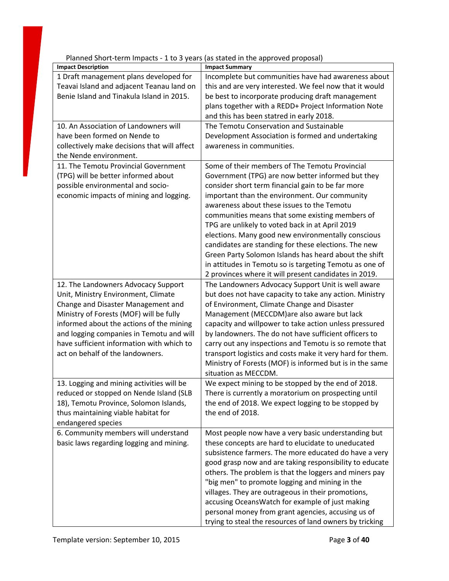| Planned Short-term Impacts - 1 to 3 years (as stated in the approved proposal)                                                                                                                                                                                                                                                       |                                                                                                                                                                                                                                                                                                                                                                                                                                                                                                                                                                                                                                                          |
|--------------------------------------------------------------------------------------------------------------------------------------------------------------------------------------------------------------------------------------------------------------------------------------------------------------------------------------|----------------------------------------------------------------------------------------------------------------------------------------------------------------------------------------------------------------------------------------------------------------------------------------------------------------------------------------------------------------------------------------------------------------------------------------------------------------------------------------------------------------------------------------------------------------------------------------------------------------------------------------------------------|
| <b>Impact Description</b>                                                                                                                                                                                                                                                                                                            | <b>Impact Summary</b>                                                                                                                                                                                                                                                                                                                                                                                                                                                                                                                                                                                                                                    |
| 1 Draft management plans developed for<br>Teavai Island and adjacent Teanau land on<br>Benie Island and Tinakula Island in 2015.                                                                                                                                                                                                     | Incomplete but communities have had awareness about<br>this and are very interested. We feel now that it would<br>be best to incorporate producing draft management<br>plans together with a REDD+ Project Information Note<br>and this has been statred in early 2018.                                                                                                                                                                                                                                                                                                                                                                                  |
| 10. An Association of Landowners will<br>have been formed on Nende to<br>collectively make decisions that will affect<br>the Nende environment.                                                                                                                                                                                      | The Temotu Conservation and Sustainable<br>Development Association is formed and undertaking<br>awareness in communities.                                                                                                                                                                                                                                                                                                                                                                                                                                                                                                                                |
| 11. The Temotu Provincial Government<br>(TPG) will be better informed about<br>possible environmental and socio-<br>economic impacts of mining and logging.                                                                                                                                                                          | Some of their members of The Temotu Provincial<br>Government (TPG) are now better informed but they<br>consider short term financial gain to be far more<br>important than the environment. Our community<br>awareness about these issues to the Temotu<br>communities means that some existing members of<br>TPG are unlikely to voted back in at April 2019<br>elections. Many good new environmentally conscious<br>candidates are standing for these elections. The new<br>Green Party Solomon Islands has heard about the shift<br>in attitudes in Temotu so is targeting Temotu as one of<br>2 provinces where it will present candidates in 2019. |
| 12. The Landowners Advocacy Support<br>Unit, Ministry Environment, Climate<br>Change and Disaster Management and<br>Ministry of Forests (MOF) will be fully<br>informed about the actions of the mining<br>and logging companies in Temotu and will<br>have sufficient information with which to<br>act on behalf of the landowners. | The Landowners Advocacy Support Unit is well aware<br>but does not have capacity to take any action. Ministry<br>of Environment, Climate Change and Disaster<br>Management (MECCDM)are also aware but lack<br>capacity and willpower to take action unless pressured<br>by landowners. The do not have sufficient officers to<br>carry out any inspections and Temotu is so remote that<br>transport logistics and costs make it very hard for them.<br>Ministry of Forests (MOF) is informed but is in the same<br>situation as MECCDM.                                                                                                                 |
| 13. Logging and mining activities will be<br>reduced or stopped on Nende Island (SLB<br>18), Temotu Province, Solomon Islands,<br>thus maintaining viable habitat for<br>endangered species                                                                                                                                          | We expect mining to be stopped by the end of 2018.<br>There is currently a moratorium on prospecting until<br>the end of 2018. We expect logging to be stopped by<br>the end of 2018.                                                                                                                                                                                                                                                                                                                                                                                                                                                                    |
| 6. Community members will understand<br>basic laws regarding logging and mining.                                                                                                                                                                                                                                                     | Most people now have a very basic understanding but<br>these concepts are hard to elucidate to uneducated<br>subsistence farmers. The more educated do have a very<br>good grasp now and are taking responsibility to educate<br>others. The problem is that the loggers and miners pay<br>"big men" to promote logging and mining in the<br>villages. They are outrageous in their promotions,<br>accusing OceansWatch for example of just making<br>personal money from grant agencies, accusing us of<br>trying to steal the resources of land owners by tricking                                                                                     |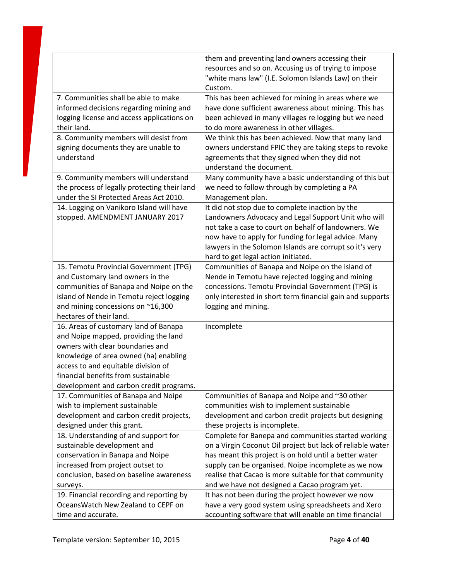|                                                                     | them and preventing land owners accessing their                                                                      |
|---------------------------------------------------------------------|----------------------------------------------------------------------------------------------------------------------|
|                                                                     | resources and so on. Accusing us of trying to impose                                                                 |
|                                                                     | "white mans law" (I.E. Solomon Islands Law) on their                                                                 |
|                                                                     | Custom.                                                                                                              |
| 7. Communities shall be able to make                                | This has been achieved for mining in areas where we                                                                  |
| informed decisions regarding mining and                             | have done sufficient awareness about mining. This has                                                                |
| logging license and access applications on                          | been achieved in many villages re logging but we need                                                                |
| their land.                                                         | to do more awareness in other villages.                                                                              |
| 8. Community members will desist from                               | We think this has been achieved. Now that many land                                                                  |
| signing documents they are unable to                                | owners understand FPIC they are taking steps to revoke                                                               |
| understand                                                          | agreements that they signed when they did not                                                                        |
|                                                                     | understand the document.                                                                                             |
| 9. Community members will understand                                | Many community have a basic understanding of this but                                                                |
| the process of legally protecting their land                        | we need to follow through by completing a PA                                                                         |
| under the SI Protected Areas Act 2010.                              | Management plan.                                                                                                     |
| 14. Logging on Vanikoro Island will have                            | It did not stop due to complete inaction by the                                                                      |
| stopped. AMENDMENT JANUARY 2017                                     | Landowners Advocacy and Legal Support Unit who will                                                                  |
|                                                                     | not take a case to court on behalf of landowners. We                                                                 |
|                                                                     | now have to apply for funding for legal advice. Many                                                                 |
|                                                                     | lawyers in the Solomon Islands are corrupt so it's very                                                              |
|                                                                     | hard to get legal action initiated.                                                                                  |
| 15. Temotu Provincial Government (TPG)                              | Communities of Banapa and Noipe on the island of                                                                     |
| and Customary land owners in the                                    | Nende in Temotu have rejected logging and mining                                                                     |
| communities of Banapa and Noipe on the                              | concessions. Temotu Provincial Government (TPG) is                                                                   |
| island of Nende in Temotu reject logging                            | only interested in short term financial gain and supports                                                            |
| and mining concessions on ~16,300                                   | logging and mining.                                                                                                  |
| hectares of their land.                                             |                                                                                                                      |
| 16. Areas of customary land of Banapa                               | Incomplete                                                                                                           |
| and Noipe mapped, providing the land                                |                                                                                                                      |
| owners with clear boundaries and                                    |                                                                                                                      |
| knowledge of area owned (ha) enabling                               |                                                                                                                      |
| access to and equitable division of                                 |                                                                                                                      |
| financial benefits from sustainable                                 |                                                                                                                      |
| development and carbon credit programs.                             |                                                                                                                      |
| 17. Communities of Banapa and Noipe                                 | Communities of Banapa and Noipe and ~30 other                                                                        |
| wish to implement sustainable                                       | communities wish to implement sustainable                                                                            |
| development and carbon credit projects,                             | development and carbon credit projects but designing                                                                 |
| designed under this grant.                                          | these projects is incomplete.                                                                                        |
| 18. Understanding of and support for<br>sustainable development and | Complete for Banepa and communities started working                                                                  |
| conservation in Banapa and Noipe                                    | on a Virgin Coconut Oil project but lack of reliable water<br>has meant this project is on hold until a better water |
| increased from project outset to                                    | supply can be organised. Noipe incomplete as we now                                                                  |
| conclusion, based on baseline awareness                             | realise that Cacao is more suitable for that community                                                               |
| surveys.                                                            | and we have not designed a Cacao program yet.                                                                        |
| 19. Financial recording and reporting by                            | It has not been during the project however we now                                                                    |
| Oceans Watch New Zealand to CEPF on                                 | have a very good system using spreadsheets and Xero                                                                  |
| time and accurate.                                                  | accounting software that will enable on time financial                                                               |
|                                                                     |                                                                                                                      |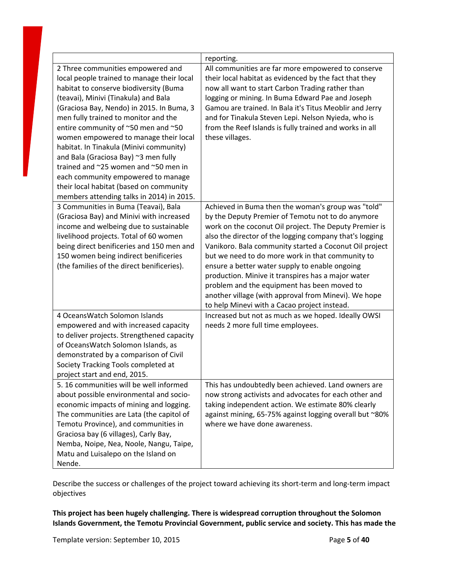|                                                                                                                                                                                                                                                                                                                                                                                                                            | reporting.                                                                                                                                                                                                                                                                                                                                                                                                                                                                                                                                                                                                |
|----------------------------------------------------------------------------------------------------------------------------------------------------------------------------------------------------------------------------------------------------------------------------------------------------------------------------------------------------------------------------------------------------------------------------|-----------------------------------------------------------------------------------------------------------------------------------------------------------------------------------------------------------------------------------------------------------------------------------------------------------------------------------------------------------------------------------------------------------------------------------------------------------------------------------------------------------------------------------------------------------------------------------------------------------|
| 2 Three communities empowered and<br>local people trained to manage their local<br>habitat to conserve biodiversity (Buma<br>(teavai), Minivi (Tinakula) and Bala                                                                                                                                                                                                                                                          | All communities are far more empowered to conserve<br>their local habitat as evidenced by the fact that they<br>now all want to start Carbon Trading rather than<br>logging or mining. In Buma Edward Pae and Joseph                                                                                                                                                                                                                                                                                                                                                                                      |
| (Graciosa Bay, Nendo) in 2015. In Buma, 3<br>men fully trained to monitor and the<br>entire community of ~50 men and ~50<br>women empowered to manage their local<br>habitat. In Tinakula (Minivi community)<br>and Bala (Graciosa Bay) ~3 men fully<br>trained and ~25 women and ~50 men in<br>each community empowered to manage<br>their local habitat (based on community<br>members attending talks in 2014) in 2015. | Gamou are trained. In Bala it's Titus Meoblir and Jerry<br>and for Tinakula Steven Lepi. Nelson Nyieda, who is<br>from the Reef Islands is fully trained and works in all<br>these villages.                                                                                                                                                                                                                                                                                                                                                                                                              |
| 3 Communities in Buma (Teavai), Bala<br>(Graciosa Bay) and Minivi with increased<br>income and welbeing due to sustainable<br>livelihood projects. Total of 60 women<br>being direct benificeries and 150 men and<br>150 women being indirect benificeries<br>(the families of the direct benificeries).                                                                                                                   | Achieved in Buma then the woman's group was "told"<br>by the Deputy Premier of Temotu not to do anymore<br>work on the coconut Oil project. The Deputy Premier is<br>also the director of the logging company that's logging<br>Vanikoro. Bala community started a Coconut Oil project<br>but we need to do more work in that community to<br>ensure a better water supply to enable ongoing<br>production. Minive it transpires has a major water<br>problem and the equipment has been moved to<br>another village (with approval from Minevi). We hope<br>to help Minevi with a Cacao project instead. |
| 4 OceansWatch Solomon Islands<br>empowered and with increased capacity<br>to deliver projects. Strengthened capacity<br>of OceansWatch Solomon Islands, as<br>demonstrated by a comparison of Civil<br>Society Tracking Tools completed at<br>project start and end, 2015.                                                                                                                                                 | Increased but not as much as we hoped. Ideally OWSI<br>needs 2 more full time employees.                                                                                                                                                                                                                                                                                                                                                                                                                                                                                                                  |
| 5. 16 communities will be well informed<br>about possible environmental and socio-<br>economic impacts of mining and logging.<br>The communities are Lata (the capitol of<br>Temotu Province), and communities in<br>Graciosa bay (6 villages), Carly Bay,<br>Nemba, Noipe, Nea, Noole, Nangu, Taipe,<br>Matu and Luisalepo on the Island on<br>Nende.                                                                     | This has undoubtedly been achieved. Land owners are<br>now strong activists and advocates for each other and<br>taking independent action. We estimate 80% clearly<br>against mining, 65-75% against logging overall but ~80%<br>where we have done awareness.                                                                                                                                                                                                                                                                                                                                            |

Describe the success or challenges of the project toward achieving its short-term and long-term impact objectives

**This project has been hugely challenging. There is widespread corruption throughout the Solomon Islands Government, the Temotu Provincial Government, public service and society. This has made the**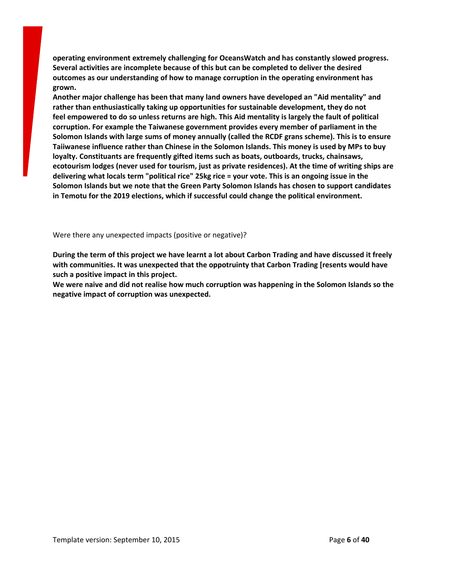**operating environment extremely challenging for OceansWatch and has constantly slowed progress. Several activities are incomplete because of this but can be completed to deliver the desired outcomes as our understanding of how to manage corruption in the operating environment has grown.**

**Another major challenge has been that many land owners have developed an "Aid mentality" and rather than enthusiastically taking up opportunities for sustainable development, they do not** feel empowered to do so unless returns are high. This Aid mentality is largely the fault of political **corruption. For example the Taiwanese government provides every member of parliament in the Solomon Islands with large sums of money annually (called the RCDF grans scheme). This is to ensure Taiiwanese influence rather than Chinese in the Solomon Islands. This money is used by MPs to buy loyalty. Constituants are frequently gifted items such as boats, outboards, trucks, chainsaws, ecotourism lodges (never used for tourism, just as private residences). At the time of writing ships are** delivering what locals term "political rice" 25kg rice = your vote. This is an ongoing issue in the **Solomon Islands but we note that the Green Party Solomon Islands has chosen to support candidates in Temotu for the 2019 elections, which if successful could change the political environment.**

Were there any unexpected impacts (positive or negative)?

During the term of this project we have learnt a lot about Carbon Trading and have discussed it freely **with communities. It was unexpected that the oppotruinty that Carbon Trading [resents would have such a positive impact in this project.**

**We were naive and did not realise how much corruption was happening in the Solomon Islands so the negative impact of corruption was unexpected.**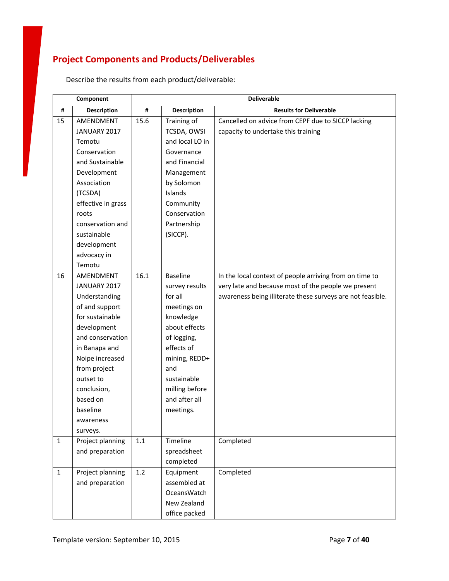# **Project Components and Products/Deliverables**

|              | Component          | <b>Deliverable</b> |                    |                                                            |
|--------------|--------------------|--------------------|--------------------|------------------------------------------------------------|
| #            | <b>Description</b> | #                  | <b>Description</b> | <b>Results for Deliverable</b>                             |
| 15           | AMENDMENT          | 15.6               | Training of        | Cancelled on advice from CEPF due to SICCP lacking         |
|              | JANUARY 2017       |                    | TCSDA, OWSI        | capacity to undertake this training                        |
|              | Temotu             |                    | and local LO in    |                                                            |
|              | Conservation       |                    | Governance         |                                                            |
|              | and Sustainable    |                    | and Financial      |                                                            |
|              | Development        |                    | Management         |                                                            |
|              | Association        |                    | by Solomon         |                                                            |
|              | (TCSDA)            |                    | Islands            |                                                            |
|              | effective in grass |                    | Community          |                                                            |
|              | roots              |                    | Conservation       |                                                            |
|              | conservation and   |                    | Partnership        |                                                            |
|              | sustainable        |                    | (SICCP).           |                                                            |
|              | development        |                    |                    |                                                            |
|              | advocacy in        |                    |                    |                                                            |
|              | Temotu             |                    |                    |                                                            |
| 16           | AMENDMENT          | 16.1               | <b>Baseline</b>    | In the local context of people arriving from on time to    |
|              | JANUARY 2017       |                    | survey results     | very late and because most of the people we present        |
|              | Understanding      |                    | for all            | awareness being illiterate these surveys are not feasible. |
|              | of and support     |                    | meetings on        |                                                            |
|              | for sustainable    |                    | knowledge          |                                                            |
|              | development        |                    | about effects      |                                                            |
|              | and conservation   |                    | of logging,        |                                                            |
|              | in Banapa and      |                    | effects of         |                                                            |
|              | Noipe increased    |                    | mining, REDD+      |                                                            |
|              | from project       |                    | and                |                                                            |
|              | outset to          |                    | sustainable        |                                                            |
|              | conclusion,        |                    | milling before     |                                                            |
|              | based on           |                    | and after all      |                                                            |
|              | baseline           |                    | meetings.          |                                                            |
|              | awareness          |                    |                    |                                                            |
|              | surveys.           |                    |                    |                                                            |
| $\mathbf{1}$ | Project planning   | $1.1\,$            | Timeline           | Completed                                                  |
|              | and preparation    |                    | spreadsheet        |                                                            |
|              |                    |                    | completed          |                                                            |
| $\mathbf{1}$ | Project planning   | 1.2                | Equipment          | Completed                                                  |
|              | and preparation    |                    | assembled at       |                                                            |
|              |                    |                    | OceansWatch        |                                                            |
|              |                    |                    | New Zealand        |                                                            |
|              |                    |                    | office packed      |                                                            |

Describe the results from each product/deliverable: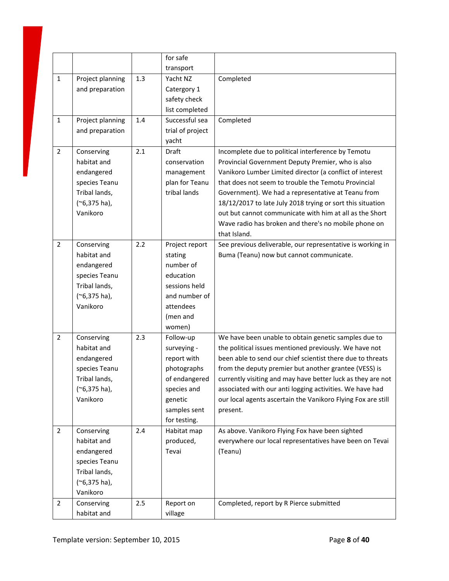|                |                           |     | for safe                  |                                                                            |
|----------------|---------------------------|-----|---------------------------|----------------------------------------------------------------------------|
|                |                           |     | transport                 |                                                                            |
| $\mathbf{1}$   | Project planning          | 1.3 | Yacht NZ                  | Completed                                                                  |
|                | and preparation           |     | Catergory 1               |                                                                            |
|                |                           |     | safety check              |                                                                            |
|                |                           |     | list completed            |                                                                            |
| $\mathbf{1}$   | Project planning          | 1.4 | Successful sea            | Completed                                                                  |
|                | and preparation           |     | trial of project          |                                                                            |
|                |                           |     | yacht                     |                                                                            |
| $\overline{2}$ | Conserving                | 2.1 | Draft                     | Incomplete due to political interference by Temotu                         |
|                | habitat and               |     | conservation              | Provincial Government Deputy Premier, who is also                          |
|                | endangered                |     | management                | Vanikoro Lumber Limited director (a conflict of interest                   |
|                | species Teanu             |     | plan for Teanu            | that does not seem to trouble the Temotu Provincial                        |
|                | Tribal lands,             |     | tribal lands              | Government). We had a representative at Teanu from                         |
|                | $(*6,375$ ha),            |     |                           | 18/12/2017 to late July 2018 trying or sort this situation                 |
|                | Vanikoro                  |     |                           | out but cannot communicate with him at all as the Short                    |
|                |                           |     |                           | Wave radio has broken and there's no mobile phone on                       |
| $\overline{2}$ |                           | 2.2 |                           | that Island.<br>See previous deliverable, our representative is working in |
|                | Conserving<br>habitat and |     | Project report<br>stating | Buma (Teanu) now but cannot communicate.                                   |
|                | endangered                |     | number of                 |                                                                            |
|                | species Teanu             |     | education                 |                                                                            |
|                | Tribal lands,             |     | sessions held             |                                                                            |
|                | $(*6,375$ ha),            |     | and number of             |                                                                            |
|                | Vanikoro                  |     | attendees                 |                                                                            |
|                |                           |     | (men and                  |                                                                            |
|                |                           |     | women)                    |                                                                            |
| $\overline{2}$ | Conserving                | 2.3 | Follow-up                 | We have been unable to obtain genetic samples due to                       |
|                | habitat and               |     | surveying -               | the political issues mentioned previously. We have not                     |
|                | endangered                |     | report with               | been able to send our chief scientist there due to threats                 |
|                | species Teanu             |     | photographs               | from the deputy premier but another grantee (VESS) is                      |
|                | Tribal lands,             |     | of endangered             | currently visiting and may have better luck as they are not                |
|                | $(*6,375$ ha),            |     | species and               | associated with our anti logging activities. We have had                   |
|                | Vanikoro                  |     | genetic                   | our local agents ascertain the Vanikoro Flying Fox are still               |
|                |                           |     | samples sent              | present.                                                                   |
|                |                           |     | for testing.              |                                                                            |
| $\overline{2}$ | Conserving                | 2.4 | Habitat map               | As above. Vanikoro Flying Fox have been sighted                            |
|                | habitat and               |     | produced,                 | everywhere our local representatives have been on Tevai                    |
|                | endangered                |     | Tevai                     | (Teanu)                                                                    |
|                | species Teanu             |     |                           |                                                                            |
|                | Tribal lands,             |     |                           |                                                                            |
|                | $(*6,375$ ha),            |     |                           |                                                                            |
|                | Vanikoro                  |     |                           |                                                                            |
| $\overline{2}$ | Conserving                | 2.5 | Report on                 | Completed, report by R Pierce submitted                                    |
|                | habitat and               |     | village                   |                                                                            |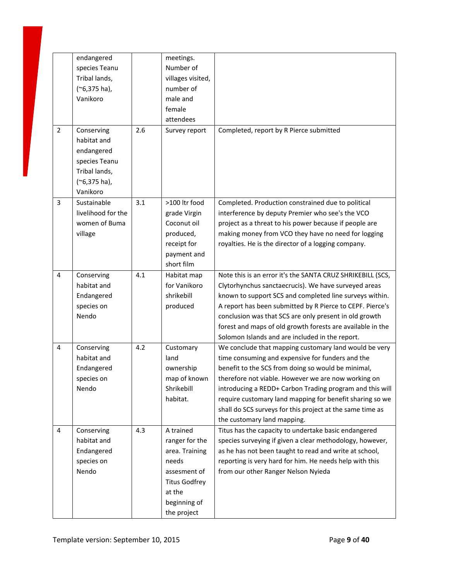|                | endangered         |     | meetings.            |                                                            |
|----------------|--------------------|-----|----------------------|------------------------------------------------------------|
|                | species Teanu      |     | Number of            |                                                            |
|                | Tribal lands,      |     | villages visited,    |                                                            |
|                | $(*6,375$ ha),     |     | number of            |                                                            |
|                | Vanikoro           |     | male and             |                                                            |
|                |                    |     | female               |                                                            |
|                |                    |     | attendees            |                                                            |
| $\overline{2}$ | Conserving         | 2.6 | Survey report        | Completed, report by R Pierce submitted                    |
|                | habitat and        |     |                      |                                                            |
|                | endangered         |     |                      |                                                            |
|                | species Teanu      |     |                      |                                                            |
|                | Tribal lands,      |     |                      |                                                            |
|                | $(*6,375$ ha),     |     |                      |                                                            |
|                | Vanikoro           |     |                      |                                                            |
| 3              | Sustainable        | 3.1 | >100 ltr food        | Completed. Production constrained due to political         |
|                | livelihood for the |     | grade Virgin         | interference by deputy Premier who see's the VCO           |
|                | women of Buma      |     | Coconut oil          | project as a threat to his power because if people are     |
|                | village            |     | produced,            | making money from VCO they have no need for logging        |
|                |                    |     | receipt for          | royalties. He is the director of a logging company.        |
|                |                    |     | payment and          |                                                            |
|                |                    |     | short film           |                                                            |
| $\overline{4}$ | Conserving         | 4.1 | Habitat map          | Note this is an error it's the SANTA CRUZ SHRIKEBILL (SCS, |
|                | habitat and        |     | for Vanikoro         | Clytorhynchus sanctaecrucis). We have surveyed areas       |
|                | Endangered         |     | shrikebill           | known to support SCS and completed line surveys within.    |
|                | species on         |     | produced             | A report has been submitted by R Pierce to CEPF. Pierce's  |
|                | Nendo              |     |                      | conclusion was that SCS are only present in old growth     |
|                |                    |     |                      | forest and maps of old growth forests are available in the |
|                |                    |     |                      | Solomon Islands and are included in the report.            |
| $\overline{4}$ | Conserving         | 4.2 | Customary            | We conclude that mapping customary land would be very      |
|                | habitat and        |     | land                 | time consuming and expensive for funders and the           |
|                | Endangered         |     | ownership            | benefit to the SCS from doing so would be minimal,         |
|                | species on         |     | map of known         | therefore not viable. However we are now working on        |
|                | Nendo              |     | Shrikebill           | introducing a REDD+ Carbon Trading program and this will   |
|                |                    |     | habitat.             | require customary land mapping for benefit sharing so we   |
|                |                    |     |                      | shall do SCS surveys for this project at the same time as  |
|                |                    |     |                      | the customary land mapping.                                |
| 4              | Conserving         | 4.3 | A trained            | Titus has the capacity to undertake basic endangered       |
|                | habitat and        |     | ranger for the       | species surveying if given a clear methodology, however,   |
|                | Endangered         |     | area. Training       | as he has not been taught to read and write at school,     |
|                | species on         |     | needs                | reporting is very hard for him. He needs help with this    |
|                | Nendo              |     | assesment of         | from our other Ranger Nelson Nyieda                        |
|                |                    |     | <b>Titus Godfrey</b> |                                                            |
|                |                    |     | at the               |                                                            |
|                |                    |     | beginning of         |                                                            |
|                |                    |     | the project          |                                                            |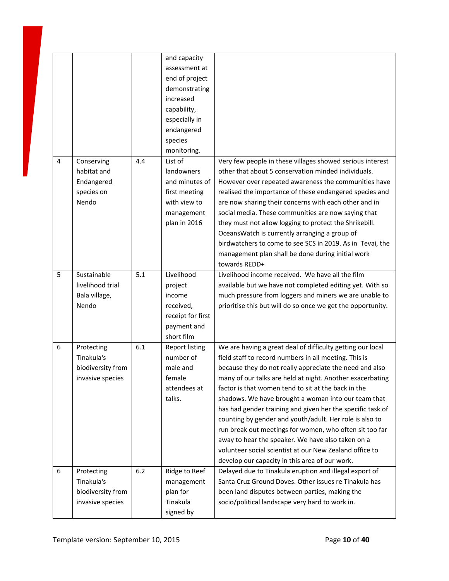|                |                                                                   |     | and capacity<br>assessment at<br>end of project<br>demonstrating<br>increased<br>capability,<br>especially in<br>endangered<br>species<br>monitoring. |                                                                                                                                                                                                                                                                                                                                                                                                                                                                                                                                                                                                                                                                                                                 |
|----------------|-------------------------------------------------------------------|-----|-------------------------------------------------------------------------------------------------------------------------------------------------------|-----------------------------------------------------------------------------------------------------------------------------------------------------------------------------------------------------------------------------------------------------------------------------------------------------------------------------------------------------------------------------------------------------------------------------------------------------------------------------------------------------------------------------------------------------------------------------------------------------------------------------------------------------------------------------------------------------------------|
| $\overline{4}$ | Conserving<br>habitat and<br>Endangered<br>species on<br>Nendo    | 4.4 | List of<br>landowners<br>and minutes of<br>first meeting<br>with view to<br>management<br>plan in 2016                                                | Very few people in these villages showed serious interest<br>other that about 5 conservation minded individuals.<br>However over repeated awareness the communities have<br>realised the importance of these endangered species and<br>are now sharing their concerns with each other and in<br>social media. These communities are now saying that<br>they must not allow logging to protect the Shrikebill.<br>OceansWatch is currently arranging a group of<br>birdwatchers to come to see SCS in 2019. As in Tevai, the<br>management plan shall be done during initial work<br>towards REDD+                                                                                                               |
| 5              | Sustainable<br>livelihood trial<br>Bala village,<br>Nendo         | 5.1 | Livelihood<br>project<br>income<br>received,<br>receipt for first<br>payment and<br>short film                                                        | Livelihood income received. We have all the film<br>available but we have not completed editing yet. With so<br>much pressure from loggers and miners we are unable to<br>prioritise this but will do so once we get the opportunity.                                                                                                                                                                                                                                                                                                                                                                                                                                                                           |
| 6              | Protecting<br>Tinakula's<br>biodiversity from<br>invasive species | 6.1 | <b>Report listing</b><br>number of<br>male and<br>female<br>attendees at<br>talks.                                                                    | We are having a great deal of difficulty getting our local<br>field staff to record numbers in all meeting. This is<br>because they do not really appreciate the need and also<br>many of our talks are held at night. Another exacerbating<br>factor is that women tend to sit at the back in the<br>shadows. We have brought a woman into our team that<br>has had gender training and given her the specific task of<br>counting by gender and youth/adult. Her role is also to<br>run break out meetings for women, who often sit too far<br>away to hear the speaker. We have also taken on a<br>volunteer social scientist at our New Zealand office to<br>develop our capacity in this area of our work. |
| 6              | Protecting<br>Tinakula's<br>biodiversity from<br>invasive species | 6.2 | Ridge to Reef<br>management<br>plan for<br>Tinakula<br>signed by                                                                                      | Delayed due to Tinakula eruption and illegal export of<br>Santa Cruz Ground Doves. Other issues re Tinakula has<br>been land disputes between parties, making the<br>socio/political landscape very hard to work in.                                                                                                                                                                                                                                                                                                                                                                                                                                                                                            |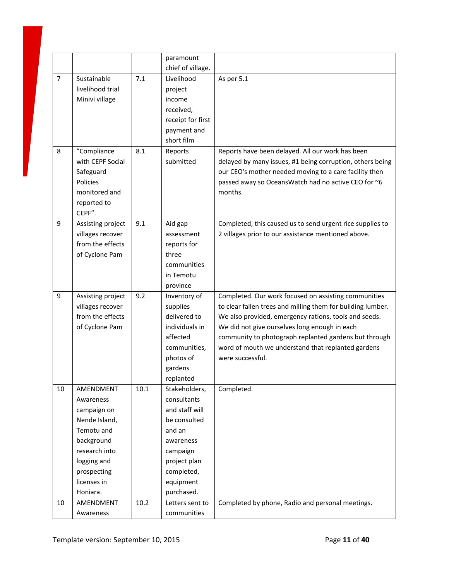|                |                   |          | paramount<br>chief of village. |                                                             |
|----------------|-------------------|----------|--------------------------------|-------------------------------------------------------------|
| $\overline{7}$ | Sustainable       | 7.1      | Livelihood                     | As per 5.1                                                  |
|                | livelihood trial  |          | project                        |                                                             |
|                | Minivi village    |          | income                         |                                                             |
|                |                   |          | received,                      |                                                             |
|                |                   |          | receipt for first              |                                                             |
|                |                   |          | payment and                    |                                                             |
|                |                   |          | short film                     |                                                             |
| 8              | "Compliance       | 8.1      | Reports                        | Reports have been delayed. All our work has been            |
|                | with CEPF Social  |          | submitted                      | delayed by many issues, #1 being corruption, others being   |
|                | Safeguard         |          |                                | our CEO's mother needed moving to a care facility then      |
|                | Policies          |          |                                | passed away so OceansWatch had no active CEO for ~6         |
|                | monitored and     |          |                                | months.                                                     |
|                | reported to       |          |                                |                                                             |
|                | CEPF".            |          |                                |                                                             |
| 9              | Assisting project | 9.1      | Aid gap                        | Completed, this caused us to send urgent rice supplies to   |
|                | villages recover  |          | assessment                     | 2 villages prior to our assistance mentioned above.         |
|                | from the effects  |          | reports for                    |                                                             |
|                | of Cyclone Pam    |          | three                          |                                                             |
|                |                   |          | communities                    |                                                             |
|                |                   |          | in Temotu                      |                                                             |
|                |                   |          | province                       |                                                             |
| 9              | Assisting project | 9.2      | Inventory of                   | Completed. Our work focused on assisting communities        |
|                | villages recover  |          | supplies                       | to clear fallen trees and milling them for building lumber. |
|                | from the effects  |          | delivered to                   | We also provided, emergency rations, tools and seeds.       |
|                | of Cyclone Pam    |          | individuals in                 | We did not give ourselves long enough in each               |
|                |                   |          | affected                       | community to photograph replanted gardens but through       |
|                |                   |          | communities,                   | word of mouth we understand that replanted gardens          |
|                |                   |          | photos of                      | were successful.                                            |
|                |                   |          | gardens                        |                                                             |
|                |                   |          | replanted                      |                                                             |
| $10\,$         | AMENDMENT         | $10.1\,$ | Stakeholders,                  | Completed.                                                  |
|                | Awareness         |          | consultants                    |                                                             |
|                | campaign on       |          | and staff will                 |                                                             |
|                | Nende Island,     |          | be consulted                   |                                                             |
|                | Temotu and        |          | and an                         |                                                             |
|                | background        |          | awareness                      |                                                             |
|                | research into     |          | campaign                       |                                                             |
|                | logging and       |          | project plan                   |                                                             |
|                | prospecting       |          | completed,                     |                                                             |
|                | licenses in       |          | equipment                      |                                                             |
|                | Honiara.          |          | purchased.                     |                                                             |
| 10             | AMENDMENT         | 10.2     | Letters sent to                | Completed by phone, Radio and personal meetings.            |
|                | Awareness         |          | communities                    |                                                             |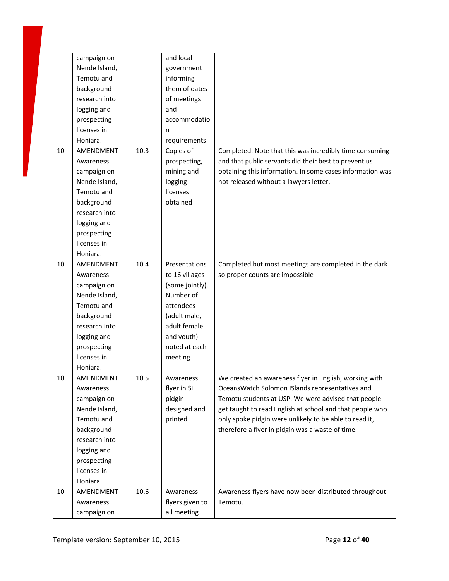|    | campaign on   |      | and local       |                                                           |
|----|---------------|------|-----------------|-----------------------------------------------------------|
|    | Nende Island, |      | government      |                                                           |
|    | Temotu and    |      | informing       |                                                           |
|    | background    |      | them of dates   |                                                           |
|    | research into |      | of meetings     |                                                           |
|    | logging and   |      | and             |                                                           |
|    | prospecting   |      | accommodatio    |                                                           |
|    | licenses in   |      | n               |                                                           |
|    | Honiara.      |      | requirements    |                                                           |
| 10 | AMENDMENT     | 10.3 | Copies of       | Completed. Note that this was incredibly time consuming   |
|    | Awareness     |      | prospecting,    | and that public servants did their best to prevent us     |
|    | campaign on   |      | mining and      | obtaining this information. In some cases information was |
|    | Nende Island, |      | logging         | not released without a lawyers letter.                    |
|    | Temotu and    |      | licenses        |                                                           |
|    | background    |      | obtained        |                                                           |
|    | research into |      |                 |                                                           |
|    | logging and   |      |                 |                                                           |
|    | prospecting   |      |                 |                                                           |
|    | licenses in   |      |                 |                                                           |
|    | Honiara.      |      |                 |                                                           |
| 10 | AMENDMENT     | 10.4 | Presentations   | Completed but most meetings are completed in the dark     |
|    | Awareness     |      | to 16 villages  | so proper counts are impossible                           |
|    | campaign on   |      | (some jointly). |                                                           |
|    | Nende Island, |      | Number of       |                                                           |
|    | Temotu and    |      | attendees       |                                                           |
|    | background    |      | (adult male,    |                                                           |
|    | research into |      | adult female    |                                                           |
|    |               |      | and youth)      |                                                           |
|    | logging and   |      |                 |                                                           |
|    | prospecting   |      | noted at each   |                                                           |
|    | licenses in   |      | meeting         |                                                           |
|    | Honiara.      |      |                 |                                                           |
| 10 | AMENDMENT     | 10.5 | Awareness       | We created an awareness flyer in English, working with    |
|    | Awareness     |      | flyer in SI     | OceansWatch Solomon ISlands representatives and           |
|    | campaign on   |      | pidgin          | Temotu students at USP. We were advised that people       |
|    | Nende Island, |      | designed and    | get taught to read English at school and that people who  |
|    | Temotu and    |      | printed         | only spoke pidgin were unlikely to be able to read it,    |
|    | background    |      |                 | therefore a flyer in pidgin was a waste of time.          |
|    | research into |      |                 |                                                           |
|    | logging and   |      |                 |                                                           |
|    | prospecting   |      |                 |                                                           |
|    | licenses in   |      |                 |                                                           |
|    | Honiara.      |      |                 |                                                           |
| 10 | AMENDMENT     | 10.6 | Awareness       | Awareness flyers have now been distributed throughout     |
|    | Awareness     |      | flyers given to | Temotu.                                                   |
|    | campaign on   |      | all meeting     |                                                           |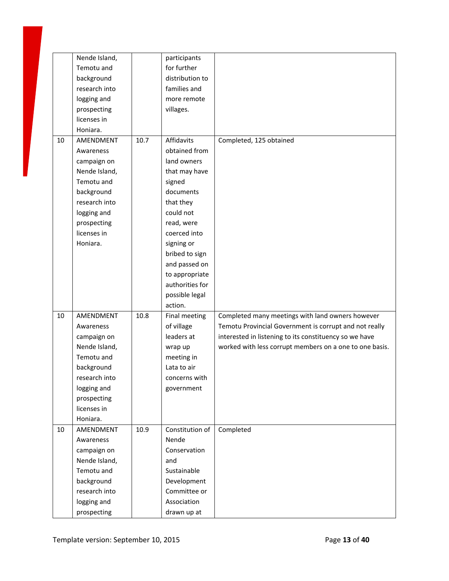|    | Nende Island, |      | participants    |                                                         |
|----|---------------|------|-----------------|---------------------------------------------------------|
|    | Temotu and    |      | for further     |                                                         |
|    | background    |      | distribution to |                                                         |
|    | research into |      | families and    |                                                         |
|    | logging and   |      | more remote     |                                                         |
|    | prospecting   |      | villages.       |                                                         |
|    | licenses in   |      |                 |                                                         |
|    | Honiara.      |      |                 |                                                         |
| 10 | AMENDMENT     | 10.7 | Affidavits      | Completed, 125 obtained                                 |
|    | Awareness     |      | obtained from   |                                                         |
|    | campaign on   |      | land owners     |                                                         |
|    | Nende Island, |      | that may have   |                                                         |
|    | Temotu and    |      | signed          |                                                         |
|    | background    |      | documents       |                                                         |
|    | research into |      | that they       |                                                         |
|    | logging and   |      | could not       |                                                         |
|    | prospecting   |      | read, were      |                                                         |
|    | licenses in   |      | coerced into    |                                                         |
|    | Honiara.      |      | signing or      |                                                         |
|    |               |      | bribed to sign  |                                                         |
|    |               |      | and passed on   |                                                         |
|    |               |      | to appropriate  |                                                         |
|    |               |      | authorities for |                                                         |
|    |               |      | possible legal  |                                                         |
|    |               |      | action.         |                                                         |
| 10 | AMENDMENT     | 10.8 | Final meeting   | Completed many meetings with land owners however        |
|    | Awareness     |      | of village      | Temotu Provincial Government is corrupt and not really  |
|    | campaign on   |      | leaders at      | interested in listening to its constituency so we have  |
|    | Nende Island, |      | wrap up         | worked with less corrupt members on a one to one basis. |
|    | Temotu and    |      | meeting in      |                                                         |
|    | background    |      | Lata to air     |                                                         |
|    | research into |      | concerns with   |                                                         |
|    | logging and   |      | government      |                                                         |
|    | prospecting   |      |                 |                                                         |
|    | licenses in   |      |                 |                                                         |
|    | Honiara.      |      |                 |                                                         |
| 10 | AMENDMENT     | 10.9 | Constitution of | Completed                                               |
|    | Awareness     |      | Nende           |                                                         |
|    | campaign on   |      | Conservation    |                                                         |
|    | Nende Island, |      | and             |                                                         |
|    | Temotu and    |      | Sustainable     |                                                         |
|    | background    |      | Development     |                                                         |
|    | research into |      | Committee or    |                                                         |
|    | logging and   |      | Association     |                                                         |
|    | prospecting   |      | drawn up at     |                                                         |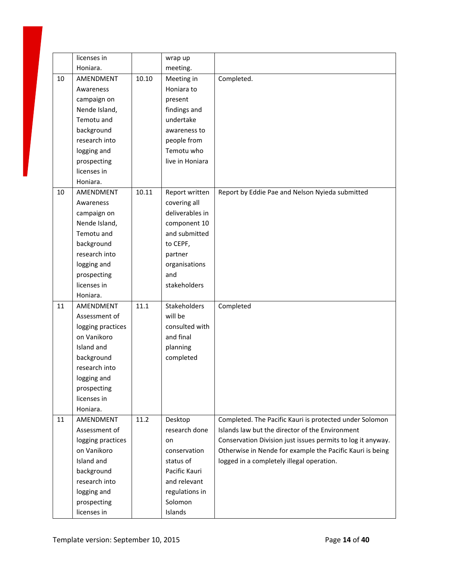|    | licenses in                |       | wrap up         |                                                             |
|----|----------------------------|-------|-----------------|-------------------------------------------------------------|
|    | Honiara.                   |       | meeting.        |                                                             |
| 10 | AMENDMENT                  | 10.10 | Meeting in      | Completed.                                                  |
|    | Awareness                  |       | Honiara to      |                                                             |
|    | campaign on                |       | present         |                                                             |
|    | Nende Island,              |       | findings and    |                                                             |
|    | Temotu and                 |       | undertake       |                                                             |
|    | background                 |       | awareness to    |                                                             |
|    | research into              |       | people from     |                                                             |
|    | logging and                |       | Temotu who      |                                                             |
|    | prospecting                |       | live in Honiara |                                                             |
|    | licenses in                |       |                 |                                                             |
|    | Honiara.                   |       |                 |                                                             |
| 10 | AMENDMENT                  | 10.11 | Report written  | Report by Eddie Pae and Nelson Nyieda submitted             |
|    | Awareness                  |       | covering all    |                                                             |
|    | campaign on                |       | deliverables in |                                                             |
|    | Nende Island,              |       | component 10    |                                                             |
|    | Temotu and                 |       | and submitted   |                                                             |
|    | background                 |       | to CEPF,        |                                                             |
|    | research into              |       | partner         |                                                             |
|    | logging and                |       | organisations   |                                                             |
|    | prospecting                |       | and             |                                                             |
|    | licenses in                |       | stakeholders    |                                                             |
|    | Honiara.                   |       |                 |                                                             |
| 11 | AMENDMENT                  | 11.1  | Stakeholders    | Completed                                                   |
|    | Assessment of              |       | will be         |                                                             |
|    | logging practices          |       | consulted with  |                                                             |
|    | on Vanikoro                |       | and final       |                                                             |
|    | Island and                 |       | planning        |                                                             |
|    | background                 |       | completed       |                                                             |
|    | research into              |       |                 |                                                             |
|    | logging and                |       |                 |                                                             |
|    | prospecting<br>licenses in |       |                 |                                                             |
|    | Honiara.                   |       |                 |                                                             |
| 11 | AMENDMENT                  | 11.2  | Desktop         | Completed. The Pacific Kauri is protected under Solomon     |
|    | Assessment of              |       | research done   | Islands law but the director of the Environment             |
|    | logging practices          |       | on              | Conservation Division just issues permits to log it anyway. |
|    | on Vanikoro                |       | conservation    | Otherwise in Nende for example the Pacific Kauri is being   |
|    | Island and                 |       | status of       | logged in a completely illegal operation.                   |
|    | background                 |       | Pacific Kauri   |                                                             |
|    | research into              |       | and relevant    |                                                             |
|    | logging and                |       | regulations in  |                                                             |
|    | prospecting                |       | Solomon         |                                                             |
|    | licenses in                |       | Islands         |                                                             |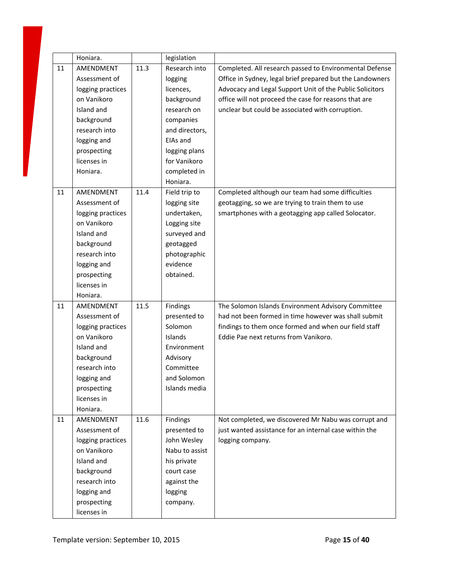|    | Honiara.          |      | legislation    |                                                           |
|----|-------------------|------|----------------|-----------------------------------------------------------|
| 11 | AMENDMENT         | 11.3 | Research into  | Completed. All research passed to Environmental Defense   |
|    | Assessment of     |      | logging        | Office in Sydney, legal brief prepared but the Landowners |
|    | logging practices |      | licences,      | Advocacy and Legal Support Unit of the Public Solicitors  |
|    | on Vanikoro       |      | background     | office will not proceed the case for reasons that are     |
|    | Island and        |      | research on    | unclear but could be associated with corruption.          |
|    | background        |      | companies      |                                                           |
|    | research into     |      | and directors, |                                                           |
|    | logging and       |      | EIAs and       |                                                           |
|    | prospecting       |      | logging plans  |                                                           |
|    | licenses in       |      | for Vanikoro   |                                                           |
|    | Honiara.          |      | completed in   |                                                           |
|    |                   |      | Honiara.       |                                                           |
| 11 | AMENDMENT         | 11.4 | Field trip to  | Completed although our team had some difficulties         |
|    | Assessment of     |      | logging site   | geotagging, so we are trying to train them to use         |
|    | logging practices |      | undertaken,    | smartphones with a geotagging app called Solocator.       |
|    | on Vanikoro       |      | Logging site   |                                                           |
|    | Island and        |      | surveyed and   |                                                           |
|    | background        |      | geotagged      |                                                           |
|    | research into     |      | photographic   |                                                           |
|    | logging and       |      | evidence       |                                                           |
|    | prospecting       |      | obtained.      |                                                           |
|    | licenses in       |      |                |                                                           |
|    | Honiara.          |      |                |                                                           |
| 11 | AMENDMENT         | 11.5 | Findings       | The Solomon Islands Environment Advisory Committee        |
|    | Assessment of     |      | presented to   | had not been formed in time however was shall submit      |
|    | logging practices |      | Solomon        | findings to them once formed and when our field staff     |
|    | on Vanikoro       |      | Islands        | Eddie Pae next returns from Vanikoro.                     |
|    | Island and        |      | Environment    |                                                           |
|    | background        |      | Advisory       |                                                           |
|    | research into     |      | Committee      |                                                           |
|    | logging and       |      | and Solomon    |                                                           |
|    | prospecting       |      | Islands media  |                                                           |
|    | licenses in       |      |                |                                                           |
|    | Honiara.          |      |                |                                                           |
| 11 | AMENDMENT         | 11.6 | Findings       | Not completed, we discovered Mr Nabu was corrupt and      |
|    | Assessment of     |      | presented to   | just wanted assistance for an internal case within the    |
|    | logging practices |      | John Wesley    | logging company.                                          |
|    | on Vanikoro       |      | Nabu to assist |                                                           |
|    | Island and        |      | his private    |                                                           |
|    | background        |      | court case     |                                                           |
|    | research into     |      | against the    |                                                           |
|    | logging and       |      | logging        |                                                           |
|    | prospecting       |      | company.       |                                                           |
|    | licenses in       |      |                |                                                           |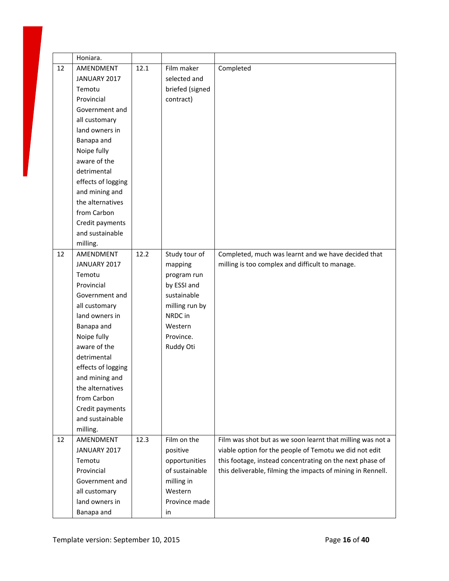|    | Honiara.           |      |                 |                                                             |
|----|--------------------|------|-----------------|-------------------------------------------------------------|
| 12 | AMENDMENT          | 12.1 | Film maker      | Completed                                                   |
|    | JANUARY 2017       |      | selected and    |                                                             |
|    | Temotu             |      | briefed (signed |                                                             |
|    | Provincial         |      | contract)       |                                                             |
|    | Government and     |      |                 |                                                             |
|    | all customary      |      |                 |                                                             |
|    | land owners in     |      |                 |                                                             |
|    | Banapa and         |      |                 |                                                             |
|    | Noipe fully        |      |                 |                                                             |
|    | aware of the       |      |                 |                                                             |
|    | detrimental        |      |                 |                                                             |
|    | effects of logging |      |                 |                                                             |
|    | and mining and     |      |                 |                                                             |
|    | the alternatives   |      |                 |                                                             |
|    | from Carbon        |      |                 |                                                             |
|    | Credit payments    |      |                 |                                                             |
|    | and sustainable    |      |                 |                                                             |
|    | milling.           |      |                 |                                                             |
| 12 | AMENDMENT          | 12.2 | Study tour of   | Completed, much was learnt and we have decided that         |
|    | JANUARY 2017       |      | mapping         | milling is too complex and difficult to manage.             |
|    | Temotu             |      | program run     |                                                             |
|    | Provincial         |      | by ESSI and     |                                                             |
|    | Government and     |      | sustainable     |                                                             |
|    | all customary      |      | milling run by  |                                                             |
|    | land owners in     |      | NRDC in         |                                                             |
|    | Banapa and         |      | Western         |                                                             |
|    | Noipe fully        |      | Province.       |                                                             |
|    | aware of the       |      | Ruddy Oti       |                                                             |
|    | detrimental        |      |                 |                                                             |
|    | effects of logging |      |                 |                                                             |
|    | and mining and     |      |                 |                                                             |
|    | the alternatives   |      |                 |                                                             |
|    | from Carbon        |      |                 |                                                             |
|    | Credit payments    |      |                 |                                                             |
|    | and sustainable    |      |                 |                                                             |
|    | milling.           |      |                 |                                                             |
| 12 | AMENDMENT          | 12.3 | Film on the     | Film was shot but as we soon learnt that milling was not a  |
|    | JANUARY 2017       |      | positive        | viable option for the people of Temotu we did not edit      |
|    | Temotu             |      | opportunities   | this footage, instead concentrating on the next phase of    |
|    | Provincial         |      | of sustainable  | this deliverable, filming the impacts of mining in Rennell. |
|    | Government and     |      | milling in      |                                                             |
|    | all customary      |      | Western         |                                                             |
|    | land owners in     |      | Province made   |                                                             |
|    | Banapa and         |      | in              |                                                             |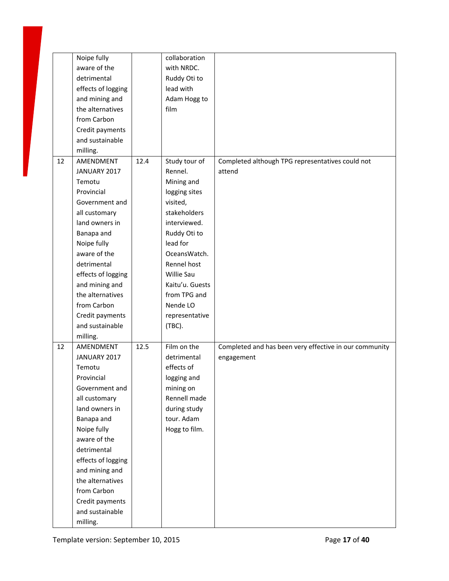|    | Noipe fully        |      | collaboration   |                                                        |
|----|--------------------|------|-----------------|--------------------------------------------------------|
|    | aware of the       |      | with NRDC.      |                                                        |
|    | detrimental        |      | Ruddy Oti to    |                                                        |
|    | effects of logging |      | lead with       |                                                        |
|    | and mining and     |      | Adam Hogg to    |                                                        |
|    | the alternatives   |      | film            |                                                        |
|    | from Carbon        |      |                 |                                                        |
|    | Credit payments    |      |                 |                                                        |
|    | and sustainable    |      |                 |                                                        |
|    | milling.           |      |                 |                                                        |
| 12 | AMENDMENT          | 12.4 | Study tour of   | Completed although TPG representatives could not       |
|    | JANUARY 2017       |      | Rennel.         | attend                                                 |
|    | Temotu             |      | Mining and      |                                                        |
|    | Provincial         |      | logging sites   |                                                        |
|    | Government and     |      | visited,        |                                                        |
|    | all customary      |      | stakeholders    |                                                        |
|    | land owners in     |      | interviewed.    |                                                        |
|    | Banapa and         |      | Ruddy Oti to    |                                                        |
|    | Noipe fully        |      | lead for        |                                                        |
|    | aware of the       |      | OceansWatch.    |                                                        |
|    | detrimental        |      |                 |                                                        |
|    |                    |      | Rennel host     |                                                        |
|    | effects of logging |      | Willie Sau      |                                                        |
|    | and mining and     |      | Kaitu'u. Guests |                                                        |
|    | the alternatives   |      | from TPG and    |                                                        |
|    | from Carbon        |      | Nende LO        |                                                        |
|    | Credit payments    |      | representative  |                                                        |
|    | and sustainable    |      | (TBC).          |                                                        |
|    | milling.           |      |                 |                                                        |
| 12 | AMENDMENT          | 12.5 | Film on the     | Completed and has been very effective in our community |
|    | JANUARY 2017       |      | detrimental     | engagement                                             |
|    | Temotu             |      | effects of      |                                                        |
|    | Provincial         |      | logging and     |                                                        |
|    | Government and     |      | mining on       |                                                        |
|    | all customary      |      | Rennell made    |                                                        |
|    | land owners in     |      | during study    |                                                        |
|    | Banapa and         |      | tour. Adam      |                                                        |
|    | Noipe fully        |      | Hogg to film.   |                                                        |
|    | aware of the       |      |                 |                                                        |
|    | detrimental        |      |                 |                                                        |
|    | effects of logging |      |                 |                                                        |
|    | and mining and     |      |                 |                                                        |
|    | the alternatives   |      |                 |                                                        |
|    | from Carbon        |      |                 |                                                        |
|    | Credit payments    |      |                 |                                                        |
|    | and sustainable    |      |                 |                                                        |
|    | milling.           |      |                 |                                                        |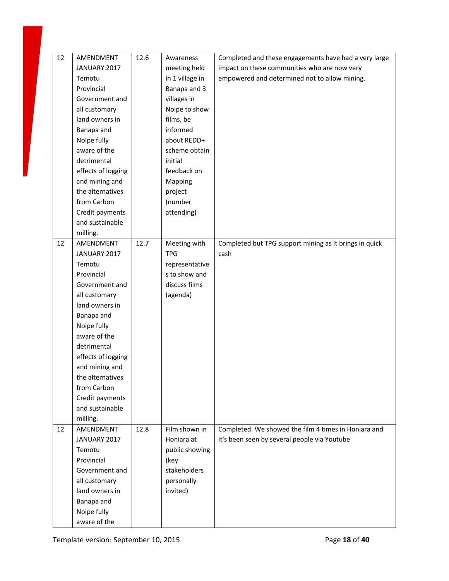| 12 | AMENDMENT          | 12.6 | Awareness       | Completed and these engagements have had a very large  |
|----|--------------------|------|-----------------|--------------------------------------------------------|
|    | JANUARY 2017       |      | meeting held    | impact on these communities who are now very           |
|    | Temotu             |      | in 1 village in | empowered and determined not to allow mining.          |
|    | Provincial         |      | Banapa and 3    |                                                        |
|    | Government and     |      | villages in     |                                                        |
|    | all customary      |      | Noipe to show   |                                                        |
|    | land owners in     |      | films, be       |                                                        |
|    | Banapa and         |      | informed        |                                                        |
|    | Noipe fully        |      | about REDD+     |                                                        |
|    | aware of the       |      | scheme obtain   |                                                        |
|    | detrimental        |      | initial         |                                                        |
|    | effects of logging |      | feedback on     |                                                        |
|    | and mining and     |      | Mapping         |                                                        |
|    | the alternatives   |      | project         |                                                        |
|    | from Carbon        |      | (number         |                                                        |
|    | Credit payments    |      | attending)      |                                                        |
|    | and sustainable    |      |                 |                                                        |
|    | milling.           |      |                 |                                                        |
| 12 | AMENDMENT          | 12.7 | Meeting with    | Completed but TPG support mining as it brings in quick |
|    | JANUARY 2017       |      | <b>TPG</b>      | cash                                                   |
|    | Temotu             |      | representative  |                                                        |
|    | Provincial         |      | s to show and   |                                                        |
|    | Government and     |      | discuss films   |                                                        |
|    | all customary      |      | (agenda)        |                                                        |
|    | land owners in     |      |                 |                                                        |
|    | Banapa and         |      |                 |                                                        |
|    | Noipe fully        |      |                 |                                                        |
|    | aware of the       |      |                 |                                                        |
|    | detrimental        |      |                 |                                                        |
|    | effects of logging |      |                 |                                                        |
|    | and mining and     |      |                 |                                                        |
|    | the alternatives   |      |                 |                                                        |
|    | from Carbon        |      |                 |                                                        |
|    | Credit payments    |      |                 |                                                        |
|    | and sustainable    |      |                 |                                                        |
|    | milling.           |      |                 |                                                        |
| 12 | AMENDMENT          | 12.8 | Film shown in   | Completed. We showed the film 4 times in Honiara and   |
|    | JANUARY 2017       |      | Honiara at      | it's been seen by several people via Youtube           |
|    | Temotu             |      | public showing  |                                                        |
|    | Provincial         |      | (key            |                                                        |
|    | Government and     |      | stakeholders    |                                                        |
|    | all customary      |      | personally      |                                                        |
|    | land owners in     |      | invited)        |                                                        |
|    |                    |      |                 |                                                        |
|    | Banapa and         |      |                 |                                                        |
|    | Noipe fully        |      |                 |                                                        |
|    | aware of the       |      |                 |                                                        |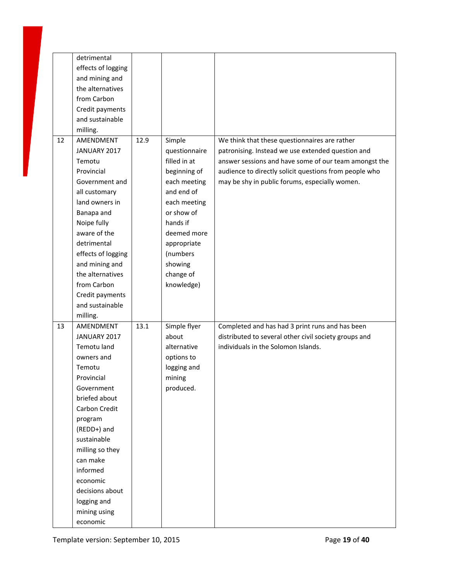|    | detrimental              |      |               |                                                        |
|----|--------------------------|------|---------------|--------------------------------------------------------|
|    | effects of logging       |      |               |                                                        |
|    | and mining and           |      |               |                                                        |
|    | the alternatives         |      |               |                                                        |
|    | from Carbon              |      |               |                                                        |
|    | Credit payments          |      |               |                                                        |
|    | and sustainable          |      |               |                                                        |
|    | milling.                 |      |               |                                                        |
| 12 | AMENDMENT                | 12.9 | Simple        | We think that these questionnaires are rather          |
|    | JANUARY 2017             |      | questionnaire | patronising. Instead we use extended question and      |
|    | Temotu                   |      | filled in at  | answer sessions and have some of our team amongst the  |
|    | Provincial               |      | beginning of  | audience to directly solicit questions from people who |
|    | Government and           |      | each meeting  | may be shy in public forums, especially women.         |
|    | all customary            |      | and end of    |                                                        |
|    | land owners in           |      | each meeting  |                                                        |
|    | Banapa and               |      | or show of    |                                                        |
|    | Noipe fully              |      | hands if      |                                                        |
|    | aware of the             |      | deemed more   |                                                        |
|    | detrimental              |      | appropriate   |                                                        |
|    |                          |      |               |                                                        |
|    | effects of logging       |      | (numbers      |                                                        |
|    | and mining and           |      | showing       |                                                        |
|    | the alternatives         |      | change of     |                                                        |
|    | from Carbon              |      | knowledge)    |                                                        |
|    | Credit payments          |      |               |                                                        |
|    | and sustainable          |      |               |                                                        |
|    | milling.                 |      |               |                                                        |
| 13 | AMENDMENT                | 13.1 | Simple flyer  | Completed and has had 3 print runs and has been        |
|    | JANUARY 2017             |      | about         | distributed to several other civil society groups and  |
|    | Temotu land              |      | alternative   | individuals in the Solomon Islands.                    |
|    | owners and               |      | options to    |                                                        |
|    | Temotu                   |      | logging and   |                                                        |
|    | Provincial               |      | mining        |                                                        |
|    | Government               |      | produced.     |                                                        |
|    | briefed about            |      |               |                                                        |
|    | Carbon Credit            |      |               |                                                        |
|    | program                  |      |               |                                                        |
|    | (REDD+) and              |      |               |                                                        |
|    | sustainable              |      |               |                                                        |
|    | milling so they          |      |               |                                                        |
|    | can make                 |      |               |                                                        |
|    | informed                 |      |               |                                                        |
|    | economic                 |      |               |                                                        |
|    | decisions about          |      |               |                                                        |
|    | logging and              |      |               |                                                        |
|    |                          |      |               |                                                        |
|    | mining using<br>economic |      |               |                                                        |
|    |                          |      |               |                                                        |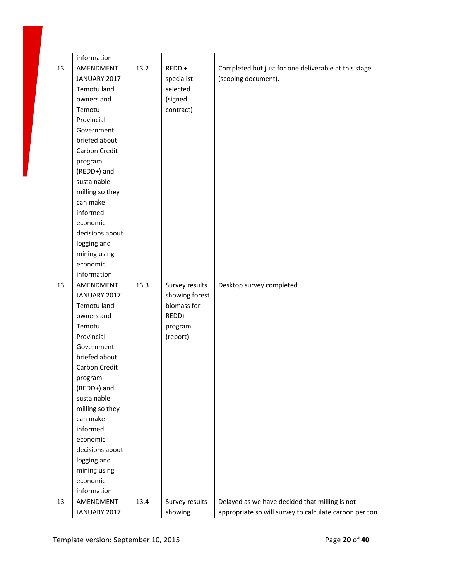|    | information     |      |                |                                                        |
|----|-----------------|------|----------------|--------------------------------------------------------|
| 13 | AMENDMENT       | 13.2 | REDD +         | Completed but just for one deliverable at this stage   |
|    | JANUARY 2017    |      | specialist     | (scoping document).                                    |
|    | Temotu land     |      | selected       |                                                        |
|    | owners and      |      | (signed        |                                                        |
|    | Temotu          |      | contract)      |                                                        |
|    | Provincial      |      |                |                                                        |
|    | Government      |      |                |                                                        |
|    | briefed about   |      |                |                                                        |
|    | Carbon Credit   |      |                |                                                        |
|    | program         |      |                |                                                        |
|    | (REDD+) and     |      |                |                                                        |
|    | sustainable     |      |                |                                                        |
|    | milling so they |      |                |                                                        |
|    | can make        |      |                |                                                        |
|    | informed        |      |                |                                                        |
|    | economic        |      |                |                                                        |
|    | decisions about |      |                |                                                        |
|    | logging and     |      |                |                                                        |
|    | mining using    |      |                |                                                        |
|    | economic        |      |                |                                                        |
|    | information     |      |                |                                                        |
| 13 | AMENDMENT       | 13.3 | Survey results | Desktop survey completed                               |
|    | JANUARY 2017    |      | showing forest |                                                        |
|    | Temotu land     |      | biomass for    |                                                        |
|    | owners and      |      | REDD+          |                                                        |
|    | Temotu          |      | program        |                                                        |
|    | Provincial      |      | (report)       |                                                        |
|    | Government      |      |                |                                                        |
|    | briefed about   |      |                |                                                        |
|    | Carbon Credit   |      |                |                                                        |
|    | program         |      |                |                                                        |
|    | (REDD+) and     |      |                |                                                        |
|    | sustainable     |      |                |                                                        |
|    | milling so they |      |                |                                                        |
|    | can make        |      |                |                                                        |
|    | informed        |      |                |                                                        |
|    | economic        |      |                |                                                        |
|    | decisions about |      |                |                                                        |
|    | logging and     |      |                |                                                        |
|    | mining using    |      |                |                                                        |
|    | economic        |      |                |                                                        |
|    | information     |      |                |                                                        |
| 13 | AMENDMENT       | 13.4 | Survey results | Delayed as we have decided that milling is not         |
|    | JANUARY 2017    |      | showing        | appropriate so will survey to calculate carbon per ton |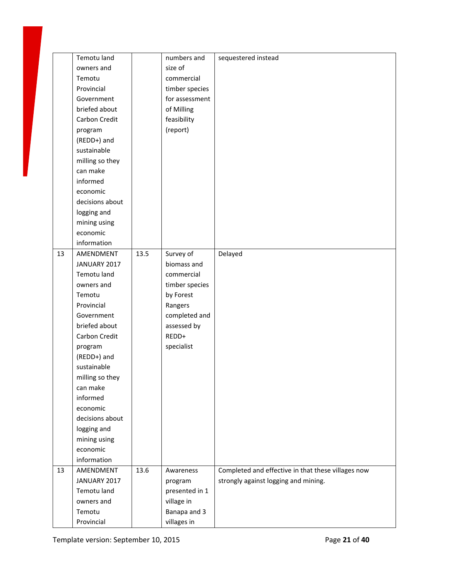|    | Temotu land          |      | numbers and                | sequestered instead                                |
|----|----------------------|------|----------------------------|----------------------------------------------------|
|    | owners and           |      | size of                    |                                                    |
|    | Temotu               |      | commercial                 |                                                    |
|    | Provincial           |      | timber species             |                                                    |
|    | Government           |      | for assessment             |                                                    |
|    | briefed about        |      | of Milling                 |                                                    |
|    | Carbon Credit        |      | feasibility                |                                                    |
|    | program              |      | (report)                   |                                                    |
|    | (REDD+) and          |      |                            |                                                    |
|    | sustainable          |      |                            |                                                    |
|    | milling so they      |      |                            |                                                    |
|    | can make             |      |                            |                                                    |
|    | informed             |      |                            |                                                    |
|    | economic             |      |                            |                                                    |
|    | decisions about      |      |                            |                                                    |
|    | logging and          |      |                            |                                                    |
|    | mining using         |      |                            |                                                    |
|    | economic             |      |                            |                                                    |
|    | information          |      |                            |                                                    |
| 13 | AMENDMENT            | 13.5 | Survey of                  | Delayed                                            |
|    | JANUARY 2017         |      | biomass and                |                                                    |
|    | Temotu land          |      | commercial                 |                                                    |
|    | owners and           |      | timber species             |                                                    |
|    | Temotu               |      | by Forest                  |                                                    |
|    | Provincial           |      | Rangers                    |                                                    |
|    | Government           |      | completed and              |                                                    |
|    | briefed about        |      | assessed by                |                                                    |
|    | Carbon Credit        |      | REDD+                      |                                                    |
|    | program              |      | specialist                 |                                                    |
|    | (REDD+) and          |      |                            |                                                    |
|    | sustainable          |      |                            |                                                    |
|    | milling so they      |      |                            |                                                    |
|    | can make             |      |                            |                                                    |
|    | informed             |      |                            |                                                    |
|    | economic             |      |                            |                                                    |
|    | decisions about      |      |                            |                                                    |
|    | logging and          |      |                            |                                                    |
|    | mining using         |      |                            |                                                    |
|    | economic             |      |                            |                                                    |
|    | information          |      |                            |                                                    |
| 13 | AMENDMENT            | 13.6 | Awareness                  | Completed and effective in that these villages now |
|    |                      |      |                            |                                                    |
|    |                      |      |                            |                                                    |
|    | JANUARY 2017         |      | program                    | strongly against logging and mining.               |
|    | Temotu land          |      | presented in 1             |                                                    |
|    | owners and<br>Temotu |      | village in<br>Banapa and 3 |                                                    |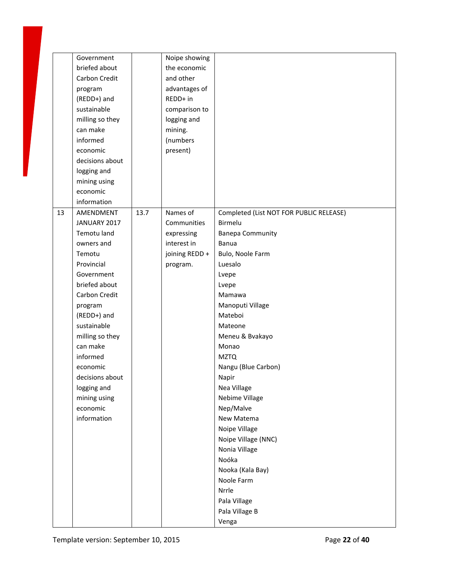|    | Government      |      | Noipe showing  |                                         |
|----|-----------------|------|----------------|-----------------------------------------|
|    | briefed about   |      | the economic   |                                         |
|    | Carbon Credit   |      | and other      |                                         |
|    | program         |      | advantages of  |                                         |
|    | (REDD+) and     |      | REDD+ in       |                                         |
|    | sustainable     |      | comparison to  |                                         |
|    | milling so they |      | logging and    |                                         |
|    | can make        |      | mining.        |                                         |
|    | informed        |      | (numbers       |                                         |
|    | economic        |      | present)       |                                         |
|    | decisions about |      |                |                                         |
|    | logging and     |      |                |                                         |
|    | mining using    |      |                |                                         |
|    | economic        |      |                |                                         |
|    | information     |      |                |                                         |
| 13 | AMENDMENT       | 13.7 | Names of       | Completed (List NOT FOR PUBLIC RELEASE) |
|    | JANUARY 2017    |      | Communities    | Birmelu                                 |
|    | Temotu land     |      | expressing     | <b>Banepa Community</b>                 |
|    | owners and      |      | interest in    | Banua                                   |
|    | Temotu          |      | joining REDD + | Bulo, Noole Farm                        |
|    | Provincial      |      |                | Luesalo                                 |
|    |                 |      | program.       |                                         |
|    | Government      |      |                | Lvepe                                   |
|    | briefed about   |      |                | Lvepe                                   |
|    | Carbon Credit   |      |                | Mamawa                                  |
|    | program         |      |                | Manoputi Village                        |
|    | (REDD+) and     |      |                | Mateboi                                 |
|    | sustainable     |      |                | Mateone                                 |
|    | milling so they |      |                | Meneu & Bvakayo                         |
|    | can make        |      |                | Monao                                   |
|    | informed        |      |                | <b>MZTQ</b>                             |
|    | economic        |      |                | Nangu (Blue Carbon)                     |
|    | decisions about |      |                | Napir                                   |
|    | logging and     |      |                | Nea Village                             |
|    | mining using    |      |                | Nebime Village                          |
|    | economic        |      |                | Nep/Malve                               |
|    | information     |      |                | New Matema                              |
|    |                 |      |                | Noipe Village                           |
|    |                 |      |                | Noipe Village (NNC)                     |
|    |                 |      |                | Nonia Village                           |
|    |                 |      |                | Noóka                                   |
|    |                 |      |                | Nooka (Kala Bay)                        |
|    |                 |      |                | Noole Farm                              |
|    |                 |      |                | Nrrle                                   |
|    |                 |      |                | Pala Village                            |
|    |                 |      |                | Pala Village B                          |
|    |                 |      |                | Venga                                   |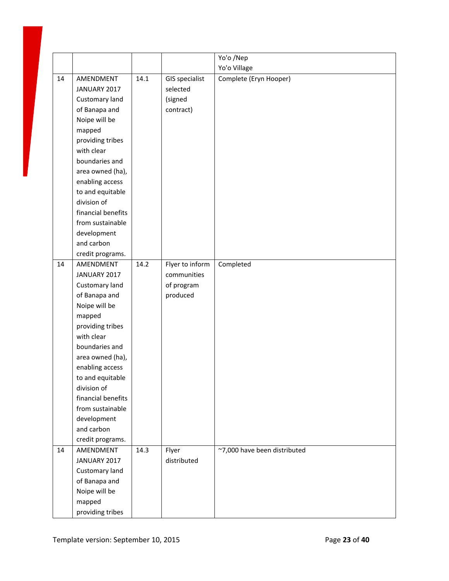|    |                               |      |                       | Yo'o /Nep                    |
|----|-------------------------------|------|-----------------------|------------------------------|
|    |                               |      |                       | Yo'o Village                 |
| 14 | AMENDMENT                     | 14.1 | <b>GIS specialist</b> | Complete (Eryn Hooper)       |
|    | JANUARY 2017                  |      | selected              |                              |
|    | Customary land                |      | (signed               |                              |
|    | of Banapa and                 |      | contract)             |                              |
|    | Noipe will be                 |      |                       |                              |
|    | mapped                        |      |                       |                              |
|    | providing tribes              |      |                       |                              |
|    | with clear                    |      |                       |                              |
|    | boundaries and                |      |                       |                              |
|    | area owned (ha),              |      |                       |                              |
|    | enabling access               |      |                       |                              |
|    | to and equitable              |      |                       |                              |
|    | division of                   |      |                       |                              |
|    | financial benefits            |      |                       |                              |
|    | from sustainable              |      |                       |                              |
|    | development                   |      |                       |                              |
|    | and carbon                    |      |                       |                              |
|    | credit programs.              |      |                       |                              |
| 14 | AMENDMENT                     | 14.2 | Flyer to inform       | Completed                    |
|    | JANUARY 2017                  |      | communities           |                              |
|    | Customary land                |      | of program            |                              |
|    | of Banapa and                 |      | produced              |                              |
|    | Noipe will be                 |      |                       |                              |
|    | mapped                        |      |                       |                              |
|    | providing tribes              |      |                       |                              |
|    | with clear                    |      |                       |                              |
|    | boundaries and                |      |                       |                              |
|    | area owned (ha),              |      |                       |                              |
|    | enabling access               |      |                       |                              |
|    | to and equitable              |      |                       |                              |
|    | division of                   |      |                       |                              |
|    | financial benefits            |      |                       |                              |
|    | from sustainable              |      |                       |                              |
|    | development<br>and carbon     |      |                       |                              |
|    |                               |      |                       |                              |
| 14 | credit programs.<br>AMENDMENT | 14.3 | Flyer                 | ~7,000 have been distributed |
|    | JANUARY 2017                  |      | distributed           |                              |
|    | Customary land                |      |                       |                              |
|    | of Banapa and                 |      |                       |                              |
|    | Noipe will be                 |      |                       |                              |
|    | mapped                        |      |                       |                              |
|    | providing tribes              |      |                       |                              |
|    |                               |      |                       |                              |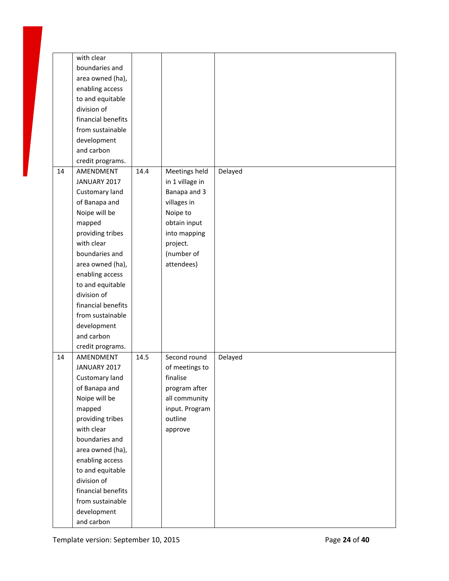|    | with clear         |      |                 |         |
|----|--------------------|------|-----------------|---------|
|    | boundaries and     |      |                 |         |
|    | area owned (ha),   |      |                 |         |
|    | enabling access    |      |                 |         |
|    | to and equitable   |      |                 |         |
|    | division of        |      |                 |         |
|    | financial benefits |      |                 |         |
|    | from sustainable   |      |                 |         |
|    | development        |      |                 |         |
|    | and carbon         |      |                 |         |
|    | credit programs.   |      |                 |         |
| 14 | AMENDMENT          | 14.4 | Meetings held   | Delayed |
|    | JANUARY 2017       |      | in 1 village in |         |
|    |                    |      |                 |         |
|    | Customary land     |      | Banapa and 3    |         |
|    | of Banapa and      |      | villages in     |         |
|    | Noipe will be      |      | Noipe to        |         |
|    | mapped             |      | obtain input    |         |
|    | providing tribes   |      | into mapping    |         |
|    | with clear         |      | project.        |         |
|    | boundaries and     |      | (number of      |         |
|    | area owned (ha),   |      | attendees)      |         |
|    | enabling access    |      |                 |         |
|    | to and equitable   |      |                 |         |
|    | division of        |      |                 |         |
|    | financial benefits |      |                 |         |
|    | from sustainable   |      |                 |         |
|    | development        |      |                 |         |
|    | and carbon         |      |                 |         |
|    | credit programs.   |      |                 |         |
| 14 | AMENDMENT          | 14.5 | Second round    | Delayed |
|    | JANUARY 2017       |      | of meetings to  |         |
|    | Customary land     |      | finalise        |         |
|    | of Banapa and      |      | program after   |         |
|    | Noipe will be      |      | all community   |         |
|    | mapped             |      | input. Program  |         |
|    | providing tribes   |      | outline         |         |
|    | with clear         |      | approve         |         |
|    | boundaries and     |      |                 |         |
|    |                    |      |                 |         |
|    | area owned (ha),   |      |                 |         |
|    | enabling access    |      |                 |         |
|    | to and equitable   |      |                 |         |
|    | division of        |      |                 |         |
|    | financial benefits |      |                 |         |
|    | from sustainable   |      |                 |         |
|    | development        |      |                 |         |
|    | and carbon         |      |                 |         |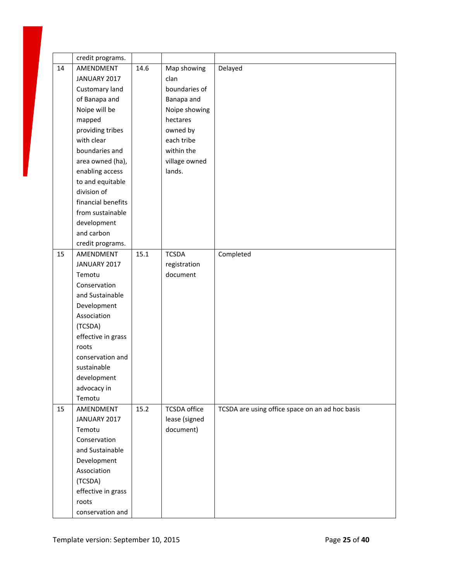|    | credit programs.   |      |                     |                                                 |
|----|--------------------|------|---------------------|-------------------------------------------------|
| 14 | AMENDMENT          | 14.6 | Map showing         | Delayed                                         |
|    | JANUARY 2017       |      | clan                |                                                 |
|    | Customary land     |      | boundaries of       |                                                 |
|    | of Banapa and      |      | Banapa and          |                                                 |
|    | Noipe will be      |      | Noipe showing       |                                                 |
|    | mapped             |      | hectares            |                                                 |
|    | providing tribes   |      | owned by            |                                                 |
|    | with clear         |      | each tribe          |                                                 |
|    | boundaries and     |      | within the          |                                                 |
|    | area owned (ha),   |      | village owned       |                                                 |
|    | enabling access    |      | lands.              |                                                 |
|    | to and equitable   |      |                     |                                                 |
|    | division of        |      |                     |                                                 |
|    | financial benefits |      |                     |                                                 |
|    | from sustainable   |      |                     |                                                 |
|    | development        |      |                     |                                                 |
|    | and carbon         |      |                     |                                                 |
|    | credit programs.   |      |                     |                                                 |
| 15 | AMENDMENT          | 15.1 | <b>TCSDA</b>        | Completed                                       |
|    | JANUARY 2017       |      | registration        |                                                 |
|    | Temotu             |      | document            |                                                 |
|    | Conservation       |      |                     |                                                 |
|    | and Sustainable    |      |                     |                                                 |
|    | Development        |      |                     |                                                 |
|    | Association        |      |                     |                                                 |
|    | (TCSDA)            |      |                     |                                                 |
|    | effective in grass |      |                     |                                                 |
|    | roots              |      |                     |                                                 |
|    | conservation and   |      |                     |                                                 |
|    | sustainable        |      |                     |                                                 |
|    | development        |      |                     |                                                 |
|    | advocacy in        |      |                     |                                                 |
|    | Temotu             |      |                     |                                                 |
| 15 | AMENDMENT          | 15.2 | <b>TCSDA</b> office | TCSDA are using office space on an ad hoc basis |
|    | JANUARY 2017       |      | lease (signed       |                                                 |
|    | Temotu             |      | document)           |                                                 |
|    | Conservation       |      |                     |                                                 |
|    | and Sustainable    |      |                     |                                                 |
|    | Development        |      |                     |                                                 |
|    | Association        |      |                     |                                                 |
|    | (TCSDA)            |      |                     |                                                 |
|    | effective in grass |      |                     |                                                 |
|    | roots              |      |                     |                                                 |
|    | conservation and   |      |                     |                                                 |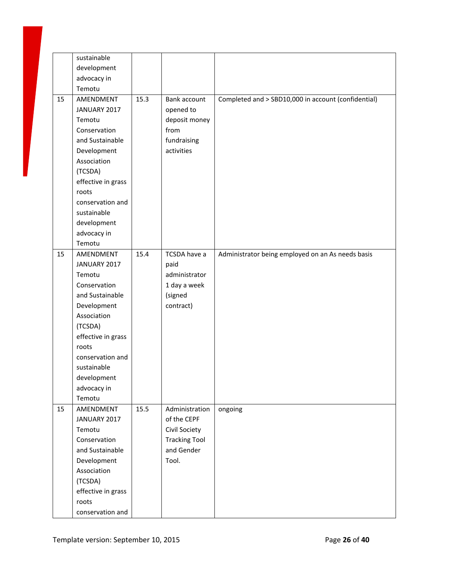|    | sustainable        |      |                      |                                                     |
|----|--------------------|------|----------------------|-----------------------------------------------------|
|    | development        |      |                      |                                                     |
|    | advocacy in        |      |                      |                                                     |
|    | Temotu             |      |                      |                                                     |
| 15 | AMENDMENT          | 15.3 | Bank account         | Completed and > SBD10,000 in account (confidential) |
|    | JANUARY 2017       |      | opened to            |                                                     |
|    | Temotu             |      | deposit money        |                                                     |
|    | Conservation       |      | from                 |                                                     |
|    | and Sustainable    |      | fundraising          |                                                     |
|    | Development        |      | activities           |                                                     |
|    | Association        |      |                      |                                                     |
|    | (TCSDA)            |      |                      |                                                     |
|    | effective in grass |      |                      |                                                     |
|    | roots              |      |                      |                                                     |
|    | conservation and   |      |                      |                                                     |
|    | sustainable        |      |                      |                                                     |
|    | development        |      |                      |                                                     |
|    | advocacy in        |      |                      |                                                     |
|    | Temotu             |      |                      |                                                     |
| 15 | AMENDMENT          | 15.4 | TCSDA have a         | Administrator being employed on an As needs basis   |
|    | JANUARY 2017       |      | paid                 |                                                     |
|    | Temotu             |      | administrator        |                                                     |
|    | Conservation       |      | 1 day a week         |                                                     |
|    | and Sustainable    |      | (signed              |                                                     |
|    | Development        |      | contract)            |                                                     |
|    | Association        |      |                      |                                                     |
|    | (TCSDA)            |      |                      |                                                     |
|    |                    |      |                      |                                                     |
|    | effective in grass |      |                      |                                                     |
|    | roots              |      |                      |                                                     |
|    | conservation and   |      |                      |                                                     |
|    | sustainable        |      |                      |                                                     |
|    | development        |      |                      |                                                     |
|    | advocacy in        |      |                      |                                                     |
|    | Temotu             |      |                      |                                                     |
| 15 | AMENDMENT          | 15.5 | Administration       | ongoing                                             |
|    | JANUARY 2017       |      | of the CEPF          |                                                     |
|    | Temotu             |      | Civil Society        |                                                     |
|    | Conservation       |      | <b>Tracking Tool</b> |                                                     |
|    | and Sustainable    |      | and Gender           |                                                     |
|    | Development        |      | Tool.                |                                                     |
|    | Association        |      |                      |                                                     |
|    | (TCSDA)            |      |                      |                                                     |
|    | effective in grass |      |                      |                                                     |
|    | roots              |      |                      |                                                     |
|    | conservation and   |      |                      |                                                     |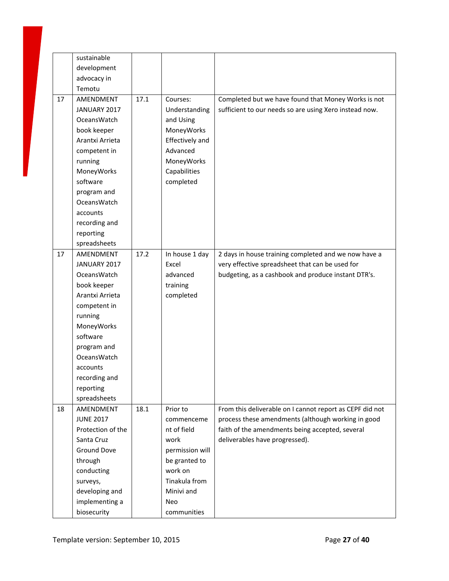|    | sustainable       |      |                 |                                                          |
|----|-------------------|------|-----------------|----------------------------------------------------------|
|    | development       |      |                 |                                                          |
|    | advocacy in       |      |                 |                                                          |
|    | Temotu            |      |                 |                                                          |
| 17 | AMENDMENT         | 17.1 | Courses:        | Completed but we have found that Money Works is not      |
|    | JANUARY 2017      |      | Understanding   | sufficient to our needs so are using Xero instead now.   |
|    | OceansWatch       |      | and Using       |                                                          |
|    | book keeper       |      | MoneyWorks      |                                                          |
|    | Arantxi Arrieta   |      | Effectively and |                                                          |
|    | competent in      |      | Advanced        |                                                          |
|    | running           |      | MoneyWorks      |                                                          |
|    | MoneyWorks        |      | Capabilities    |                                                          |
|    | software          |      | completed       |                                                          |
|    | program and       |      |                 |                                                          |
|    | OceansWatch       |      |                 |                                                          |
|    | accounts          |      |                 |                                                          |
|    | recording and     |      |                 |                                                          |
|    | reporting         |      |                 |                                                          |
|    | spreadsheets      |      |                 |                                                          |
| 17 | AMENDMENT         | 17.2 | In house 1 day  | 2 days in house training completed and we now have a     |
|    | JANUARY 2017      |      | Excel           | very effective spreadsheet that can be used for          |
|    | OceansWatch       |      | advanced        | budgeting, as a cashbook and produce instant DTR's.      |
|    | book keeper       |      | training        |                                                          |
|    | Arantxi Arrieta   |      | completed       |                                                          |
|    | competent in      |      |                 |                                                          |
|    | running           |      |                 |                                                          |
|    | MoneyWorks        |      |                 |                                                          |
|    | software          |      |                 |                                                          |
|    | program and       |      |                 |                                                          |
|    | OceansWatch       |      |                 |                                                          |
|    | accounts          |      |                 |                                                          |
|    | recording and     |      |                 |                                                          |
|    | reporting         |      |                 |                                                          |
|    | spreadsheets      |      |                 |                                                          |
| 18 | AMENDMENT         | 18.1 | Prior to        | From this deliverable on I cannot report as CEPF did not |
|    | <b>JUNE 2017</b>  |      | commenceme      | process these amendments (although working in good       |
|    | Protection of the |      | nt of field     | faith of the amendments being accepted, several          |
|    | Santa Cruz        |      | work            | deliverables have progressed).                           |
|    | Ground Dove       |      | permission will |                                                          |
|    | through           |      | be granted to   |                                                          |
|    | conducting        |      | work on         |                                                          |
|    | surveys,          |      | Tinakula from   |                                                          |
|    | developing and    |      | Minivi and      |                                                          |
|    | implementing a    |      | Neo             |                                                          |
|    | biosecurity       |      | communities     |                                                          |
|    |                   |      |                 |                                                          |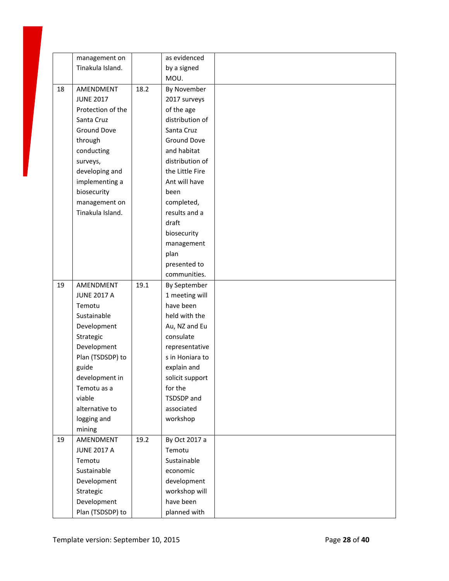|    | management on                                |      | as evidenced                               |  |
|----|----------------------------------------------|------|--------------------------------------------|--|
|    | Tinakula Island.                             |      | by a signed                                |  |
|    |                                              |      | MOU.                                       |  |
| 18 | AMENDMENT                                    | 18.2 | By November                                |  |
|    | <b>JUNE 2017</b>                             |      | 2017 surveys                               |  |
|    | Protection of the                            |      | of the age                                 |  |
|    | Santa Cruz                                   |      | distribution of                            |  |
|    | Ground Dove                                  |      | Santa Cruz                                 |  |
|    | through                                      |      | <b>Ground Dove</b>                         |  |
|    | conducting                                   |      | and habitat                                |  |
|    | surveys,                                     |      | distribution of                            |  |
|    | developing and                               |      | the Little Fire                            |  |
|    | implementing a                               |      | Ant will have                              |  |
|    | biosecurity                                  |      | been                                       |  |
|    | management on                                |      | completed,                                 |  |
|    | Tinakula Island.                             |      | results and a                              |  |
|    |                                              |      | draft                                      |  |
|    |                                              |      | biosecurity                                |  |
|    |                                              |      | management                                 |  |
|    |                                              |      | plan                                       |  |
|    |                                              |      | presented to                               |  |
|    |                                              |      | communities.                               |  |
| 19 | AMENDMENT                                    | 19.1 | By September                               |  |
|    | <b>JUNE 2017 A</b>                           |      | 1 meeting will                             |  |
|    | Temotu                                       |      | have been                                  |  |
|    | Sustainable                                  |      | held with the                              |  |
|    | Development                                  |      | Au, NZ and Eu                              |  |
|    | Strategic                                    |      | consulate                                  |  |
|    | Development                                  |      | representative                             |  |
|    | Plan (TSDSDP) to                             |      | s in Honiara to                            |  |
|    | guide                                        |      | explain and                                |  |
|    | development in                               |      | solicit support                            |  |
|    | Temotu as a                                  |      | for the                                    |  |
|    | viable                                       |      | TSDSDP and                                 |  |
|    | alternative to                               |      | associated                                 |  |
|    | logging and                                  |      | workshop                                   |  |
|    | mining                                       |      |                                            |  |
| 19 | AMENDMENT                                    | 19.2 | By Oct 2017 a                              |  |
|    | <b>JUNE 2017 A</b>                           |      | Temotu                                     |  |
|    | Temotu                                       |      | Sustainable                                |  |
|    | Sustainable                                  |      | economic                                   |  |
|    | Development                                  |      | development                                |  |
|    |                                              |      |                                            |  |
|    |                                              |      |                                            |  |
|    |                                              |      |                                            |  |
|    | Strategic<br>Development<br>Plan (TSDSDP) to |      | workshop will<br>have been<br>planned with |  |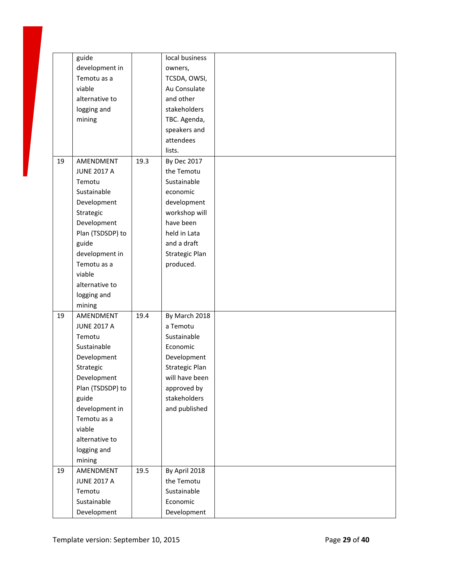|    | guide              |      | local business     |  |
|----|--------------------|------|--------------------|--|
|    | development in     |      | owners,            |  |
|    | Temotu as a        |      | TCSDA, OWSI,       |  |
|    | viable             |      | Au Consulate       |  |
|    | alternative to     |      | and other          |  |
|    | logging and        |      | stakeholders       |  |
|    | mining             |      | TBC. Agenda,       |  |
|    |                    |      | speakers and       |  |
|    |                    |      | attendees          |  |
|    |                    |      | lists.             |  |
| 19 | AMENDMENT          | 19.3 | <b>By Dec 2017</b> |  |
|    | <b>JUNE 2017 A</b> |      | the Temotu         |  |
|    | Temotu             |      | Sustainable        |  |
|    | Sustainable        |      | economic           |  |
|    | Development        |      | development        |  |
|    | Strategic          |      | workshop will      |  |
|    | Development        |      | have been          |  |
|    | Plan (TSDSDP) to   |      | held in Lata       |  |
|    | guide              |      | and a draft        |  |
|    | development in     |      | Strategic Plan     |  |
|    | Temotu as a        |      | produced.          |  |
|    | viable             |      |                    |  |
|    | alternative to     |      |                    |  |
|    | logging and        |      |                    |  |
|    | mining             |      |                    |  |
| 19 | AMENDMENT          | 19.4 | By March 2018      |  |
|    | <b>JUNE 2017 A</b> |      | a Temotu           |  |
|    | Temotu             |      | Sustainable        |  |
|    | Sustainable        |      | Economic           |  |
|    | Development        |      | Development        |  |
|    | Strategic          |      | Strategic Plan     |  |
|    | Development        |      | will have been     |  |
|    | Plan (TSDSDP) to   |      | approved by        |  |
|    | guide              |      | stakeholders       |  |
|    | development in     |      | and published      |  |
|    | Temotu as a        |      |                    |  |
|    | viable             |      |                    |  |
|    | alternative to     |      |                    |  |
|    | logging and        |      |                    |  |
|    | mining             |      |                    |  |
| 19 | AMENDMENT          | 19.5 | By April 2018      |  |
|    | <b>JUNE 2017 A</b> |      | the Temotu         |  |
|    | Temotu             |      | Sustainable        |  |
|    | Sustainable        |      | Economic           |  |
|    | Development        |      | Development        |  |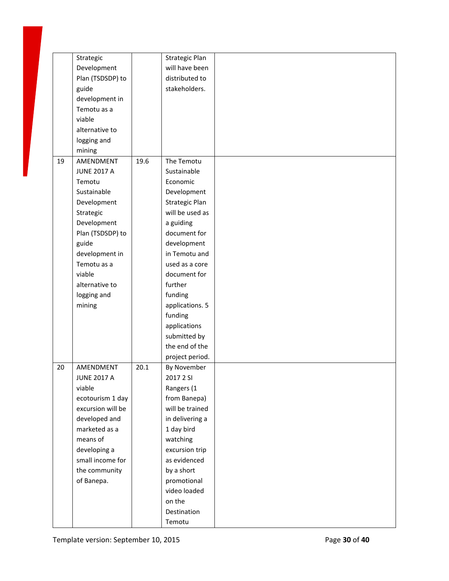|    | Strategic          |      | Strategic Plan  |  |
|----|--------------------|------|-----------------|--|
|    | Development        |      | will have been  |  |
|    | Plan (TSDSDP) to   |      | distributed to  |  |
|    | guide              |      | stakeholders.   |  |
|    | development in     |      |                 |  |
|    | Temotu as a        |      |                 |  |
|    | viable             |      |                 |  |
|    | alternative to     |      |                 |  |
|    | logging and        |      |                 |  |
|    | mining             |      |                 |  |
| 19 | AMENDMENT          | 19.6 | The Temotu      |  |
|    | <b>JUNE 2017 A</b> |      | Sustainable     |  |
|    | Temotu             |      | Economic        |  |
|    | Sustainable        |      |                 |  |
|    |                    |      | Development     |  |
|    | Development        |      | Strategic Plan  |  |
|    | Strategic          |      | will be used as |  |
|    | Development        |      | a guiding       |  |
|    | Plan (TSDSDP) to   |      | document for    |  |
|    | guide              |      | development     |  |
|    | development in     |      | in Temotu and   |  |
|    | Temotu as a        |      | used as a core  |  |
|    | viable             |      | document for    |  |
|    | alternative to     |      | further         |  |
|    | logging and        |      | funding         |  |
|    | mining             |      | applications. 5 |  |
|    |                    |      | funding         |  |
|    |                    |      | applications    |  |
|    |                    |      | submitted by    |  |
|    |                    |      | the end of the  |  |
|    |                    |      | project period. |  |
| 20 | AMENDMENT          | 20.1 | By November     |  |
|    | JUNE 2017 A        |      | 2017 2 SI       |  |
|    | viable             |      | Rangers (1      |  |
|    | ecotourism 1 day   |      | from Banepa)    |  |
|    | excursion will be  |      | will be trained |  |
|    | developed and      |      | in delivering a |  |
|    | marketed as a      |      | 1 day bird      |  |
|    | means of           |      | watching        |  |
|    | developing a       |      | excursion trip  |  |
|    | small income for   |      | as evidenced    |  |
|    | the community      |      | by a short      |  |
|    | of Banepa.         |      | promotional     |  |
|    |                    |      | video loaded    |  |
|    |                    |      | on the          |  |
|    |                    |      |                 |  |
|    |                    |      | Destination     |  |
|    |                    |      | Temotu          |  |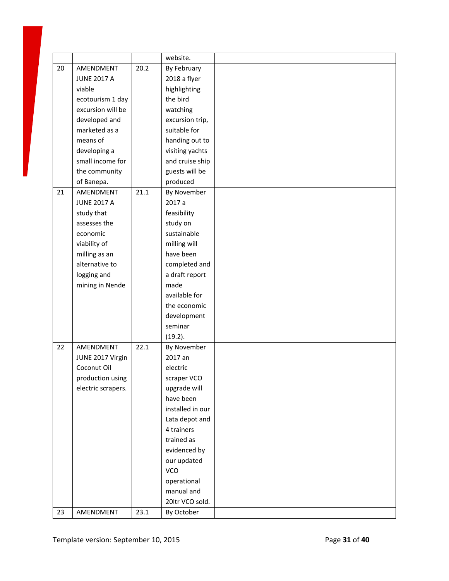|    |                    |      | website.         |  |
|----|--------------------|------|------------------|--|
| 20 | AMENDMENT          | 20.2 | By February      |  |
|    | <b>JUNE 2017 A</b> |      | 2018 a flyer     |  |
|    | viable             |      | highlighting     |  |
|    | ecotourism 1 day   |      | the bird         |  |
|    | excursion will be  |      | watching         |  |
|    | developed and      |      | excursion trip,  |  |
|    | marketed as a      |      | suitable for     |  |
|    | means of           |      | handing out to   |  |
|    | developing a       |      | visiting yachts  |  |
|    | small income for   |      | and cruise ship  |  |
|    | the community      |      | guests will be   |  |
|    | of Banepa.         |      | produced         |  |
| 21 | AMENDMENT          | 21.1 | By November      |  |
|    | <b>JUNE 2017 A</b> |      | 2017 a           |  |
|    | study that         |      | feasibility      |  |
|    | assesses the       |      | study on         |  |
|    | economic           |      | sustainable      |  |
|    | viability of       |      | milling will     |  |
|    | milling as an      |      | have been        |  |
|    | alternative to     |      | completed and    |  |
|    | logging and        |      | a draft report   |  |
|    | mining in Nende    |      | made             |  |
|    |                    |      | available for    |  |
|    |                    |      | the economic     |  |
|    |                    |      | development      |  |
|    |                    |      | seminar          |  |
|    |                    |      | (19.2).          |  |
| 22 | AMENDMENT          | 22.1 | By November      |  |
|    | JUNE 2017 Virgin   |      | 2017 an          |  |
|    | Coconut Oil        |      | electric         |  |
|    | production using   |      | scraper VCO      |  |
|    | electric scrapers. |      | upgrade will     |  |
|    |                    |      | have been        |  |
|    |                    |      | installed in our |  |
|    |                    |      | Lata depot and   |  |
|    |                    |      | 4 trainers       |  |
|    |                    |      | trained as       |  |
|    |                    |      | evidenced by     |  |
|    |                    |      | our updated      |  |
|    |                    |      | VCO              |  |
|    |                    |      | operational      |  |
|    |                    |      | manual and       |  |
|    |                    |      | 20ltr VCO sold.  |  |
| 23 | AMENDMENT          | 23.1 | By October       |  |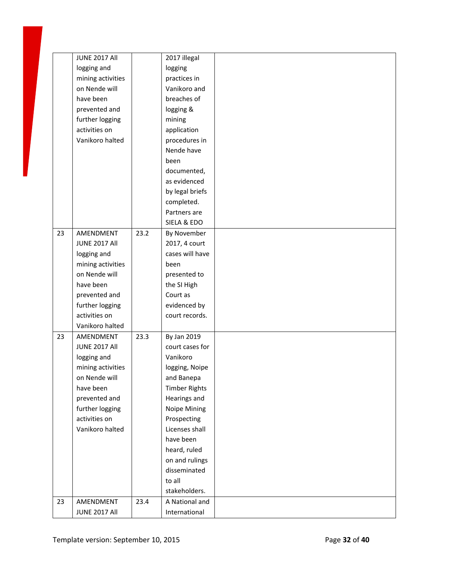|    | <b>JUNE 2017 All</b> |      | 2017 illegal         |  |
|----|----------------------|------|----------------------|--|
|    | logging and          |      | logging              |  |
|    | mining activities    |      | practices in         |  |
|    | on Nende will        |      | Vanikoro and         |  |
|    | have been            |      | breaches of          |  |
|    | prevented and        |      | logging &            |  |
|    | further logging      |      | mining               |  |
|    | activities on        |      | application          |  |
|    | Vanikoro halted      |      | procedures in        |  |
|    |                      |      | Nende have           |  |
|    |                      |      | been                 |  |
|    |                      |      | documented,          |  |
|    |                      |      | as evidenced         |  |
|    |                      |      | by legal briefs      |  |
|    |                      |      | completed.           |  |
|    |                      |      | Partners are         |  |
|    |                      |      | SIELA & EDO          |  |
| 23 | AMENDMENT            | 23.2 | By November          |  |
|    | <b>JUNE 2017 All</b> |      | 2017, 4 court        |  |
|    | logging and          |      | cases will have      |  |
|    | mining activities    |      | been                 |  |
|    | on Nende will        |      | presented to         |  |
|    | have been            |      | the SI High          |  |
|    | prevented and        |      | Court as             |  |
|    | further logging      |      | evidenced by         |  |
|    | activities on        |      | court records.       |  |
|    | Vanikoro halted      |      |                      |  |
| 23 | AMENDMENT            | 23.3 | By Jan 2019          |  |
|    | <b>JUNE 2017 All</b> |      | court cases for      |  |
|    | logging and          |      | Vanikoro             |  |
|    | mining activities    |      | logging, Noipe       |  |
|    | on Nende will        |      | and Banepa           |  |
|    | have been            |      | <b>Timber Rights</b> |  |
|    | prevented and        |      | Hearings and         |  |
|    | further logging      |      | Noipe Mining         |  |
|    | activities on        |      | Prospecting          |  |
|    | Vanikoro halted      |      | Licenses shall       |  |
|    |                      |      | have been            |  |
|    |                      |      | heard, ruled         |  |
|    |                      |      | on and rulings       |  |
|    |                      |      | disseminated         |  |
|    |                      |      | to all               |  |
|    |                      |      | stakeholders.        |  |
| 23 | AMENDMENT            | 23.4 | A National and       |  |
|    | <b>JUNE 2017 All</b> |      | International        |  |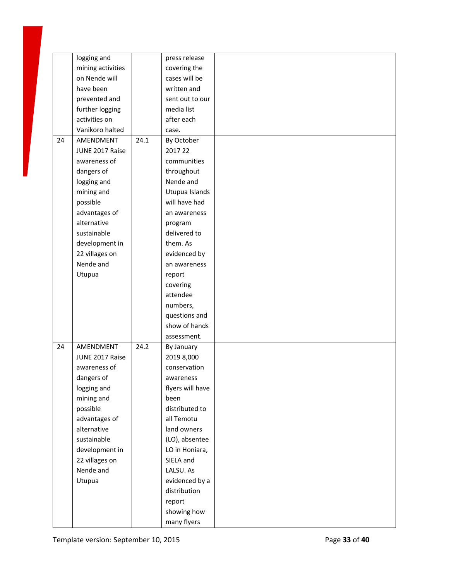|    | logging and       |      | press release    |  |
|----|-------------------|------|------------------|--|
|    | mining activities |      | covering the     |  |
|    | on Nende will     |      | cases will be    |  |
|    | have been         |      | written and      |  |
|    | prevented and     |      | sent out to our  |  |
|    | further logging   |      | media list       |  |
|    | activities on     |      | after each       |  |
|    | Vanikoro halted   |      | case.            |  |
| 24 | AMENDMENT         | 24.1 | By October       |  |
|    | JUNE 2017 Raise   |      | 2017 22          |  |
|    | awareness of      |      | communities      |  |
|    | dangers of        |      | throughout       |  |
|    | logging and       |      | Nende and        |  |
|    | mining and        |      | Utupua Islands   |  |
|    | possible          |      | will have had    |  |
|    | advantages of     |      | an awareness     |  |
|    | alternative       |      | program          |  |
|    | sustainable       |      | delivered to     |  |
|    | development in    |      | them. As         |  |
|    | 22 villages on    |      | evidenced by     |  |
|    | Nende and         |      |                  |  |
|    |                   |      | an awareness     |  |
|    | Utupua            |      | report           |  |
|    |                   |      | covering         |  |
|    |                   |      | attendee         |  |
|    |                   |      | numbers,         |  |
|    |                   |      | questions and    |  |
|    |                   |      | show of hands    |  |
|    |                   |      | assessment.      |  |
| 24 | AMENDMENT         | 24.2 | By January       |  |
|    | JUNE 2017 Raise   |      | 2019 8,000       |  |
|    | awareness of      |      | conservation     |  |
|    | dangers of        |      | awareness        |  |
|    | logging and       |      | flyers will have |  |
|    | mining and        |      | been             |  |
|    | possible          |      | distributed to   |  |
|    | advantages of     |      | all Temotu       |  |
|    | alternative       |      | land owners      |  |
|    | sustainable       |      | (LO), absentee   |  |
|    | development in    |      | LO in Honiara,   |  |
|    | 22 villages on    |      | SIELA and        |  |
|    | Nende and         |      | LALSU. As        |  |
|    | Utupua            |      | evidenced by a   |  |
|    |                   |      | distribution     |  |
|    |                   |      | report           |  |
|    |                   |      | showing how      |  |
|    |                   |      | many flyers      |  |
|    |                   |      |                  |  |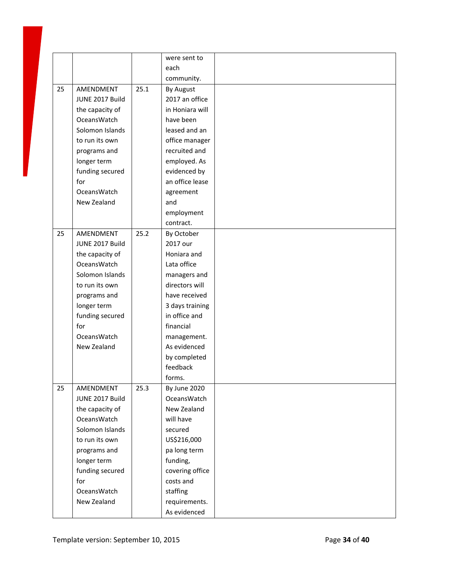|    |                    |      | were sent to       |  |
|----|--------------------|------|--------------------|--|
|    |                    |      | each               |  |
|    |                    |      | community.         |  |
| 25 | AMENDMENT          | 25.1 | By August          |  |
|    | JUNE 2017 Build    |      | 2017 an office     |  |
|    | the capacity of    |      | in Honiara will    |  |
|    | <b>OceansWatch</b> |      | have been          |  |
|    | Solomon Islands    |      | leased and an      |  |
|    | to run its own     |      | office manager     |  |
|    | programs and       |      | recruited and      |  |
|    | longer term        |      | employed. As       |  |
|    | funding secured    |      | evidenced by       |  |
|    | for                |      | an office lease    |  |
|    | <b>OceansWatch</b> |      | agreement          |  |
|    | New Zealand        |      | and                |  |
|    |                    |      | employment         |  |
|    |                    |      | contract.          |  |
| 25 | AMENDMENT          | 25.2 | By October         |  |
|    | JUNE 2017 Build    |      | 2017 our           |  |
|    | the capacity of    |      | Honiara and        |  |
|    | <b>OceansWatch</b> |      | Lata office        |  |
|    | Solomon Islands    |      | managers and       |  |
|    | to run its own     |      | directors will     |  |
|    | programs and       |      | have received      |  |
|    | longer term        |      | 3 days training    |  |
|    | funding secured    |      | in office and      |  |
|    | for                |      | financial          |  |
|    | <b>OceansWatch</b> |      | management.        |  |
|    | New Zealand        |      | As evidenced       |  |
|    |                    |      | by completed       |  |
|    |                    |      | feedback           |  |
|    |                    |      | forms.             |  |
| 25 | AMENDMENT          | 25.3 | By June 2020       |  |
|    | JUNE 2017 Build    |      | <b>OceansWatch</b> |  |
|    | the capacity of    |      | New Zealand        |  |
|    | <b>OceansWatch</b> |      | will have          |  |
|    | Solomon Islands    |      | secured            |  |
|    | to run its own     |      | US\$216,000        |  |
|    | programs and       |      | pa long term       |  |
|    | longer term        |      | funding,           |  |
|    | funding secured    |      | covering office    |  |
|    | for                |      | costs and          |  |
|    | OceansWatch        |      | staffing           |  |
|    | New Zealand        |      | requirements.      |  |
|    |                    |      | As evidenced       |  |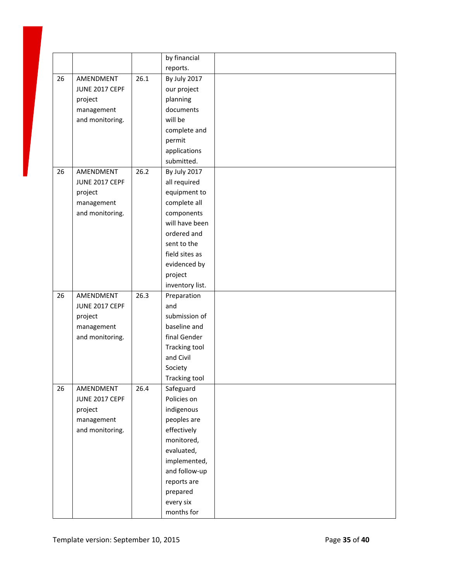|    |                 |      | by financial         |  |
|----|-----------------|------|----------------------|--|
|    |                 |      | reports.             |  |
| 26 | AMENDMENT       | 26.1 | By July 2017         |  |
|    | JUNE 2017 CEPF  |      | our project          |  |
|    | project         |      | planning             |  |
|    | management      |      | documents            |  |
|    | and monitoring. |      | will be              |  |
|    |                 |      | complete and         |  |
|    |                 |      | permit               |  |
|    |                 |      | applications         |  |
|    |                 |      | submitted.           |  |
| 26 | AMENDMENT       | 26.2 | By July 2017         |  |
|    | JUNE 2017 CEPF  |      | all required         |  |
|    | project         |      | equipment to         |  |
|    | management      |      | complete all         |  |
|    | and monitoring. |      | components           |  |
|    |                 |      | will have been       |  |
|    |                 |      | ordered and          |  |
|    |                 |      | sent to the          |  |
|    |                 |      | field sites as       |  |
|    |                 |      | evidenced by         |  |
|    |                 |      | project              |  |
|    |                 |      | inventory list.      |  |
| 26 | AMENDMENT       | 26.3 | Preparation          |  |
|    | JUNE 2017 CEPF  |      | and                  |  |
|    | project         |      | submission of        |  |
|    | management      |      | baseline and         |  |
|    | and monitoring. |      | final Gender         |  |
|    |                 |      | <b>Tracking tool</b> |  |
|    |                 |      | and Civil            |  |
|    |                 |      | Society              |  |
|    |                 |      | Tracking tool        |  |
| 26 | AMENDMENT       | 26.4 | Safeguard            |  |
|    | JUNE 2017 CEPF  |      | Policies on          |  |
|    | project         |      | indigenous           |  |
|    | management      |      | peoples are          |  |
|    | and monitoring. |      | effectively          |  |
|    |                 |      | monitored,           |  |
|    |                 |      | evaluated,           |  |
|    |                 |      | implemented,         |  |
|    |                 |      | and follow-up        |  |
|    |                 |      | reports are          |  |
|    |                 |      | prepared             |  |
|    |                 |      | every six            |  |
|    |                 |      | months for           |  |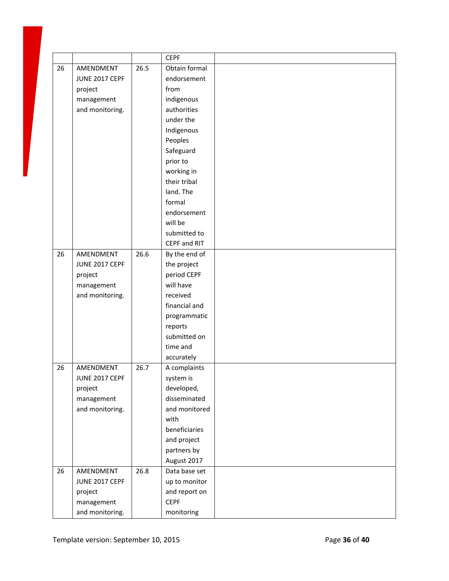|    |                 |      | <b>CEPF</b>   |  |
|----|-----------------|------|---------------|--|
| 26 | AMENDMENT       | 26.5 | Obtain formal |  |
|    | JUNE 2017 CEPF  |      | endorsement   |  |
|    | project         |      | from          |  |
|    | management      |      | indigenous    |  |
|    | and monitoring. |      | authorities   |  |
|    |                 |      | under the     |  |
|    |                 |      | Indigenous    |  |
|    |                 |      | Peoples       |  |
|    |                 |      | Safeguard     |  |
|    |                 |      | prior to      |  |
|    |                 |      | working in    |  |
|    |                 |      | their tribal  |  |
|    |                 |      | land. The     |  |
|    |                 |      | formal        |  |
|    |                 |      | endorsement   |  |
|    |                 |      | will be       |  |
|    |                 |      | submitted to  |  |
|    |                 |      | CEPF and RIT  |  |
| 26 | AMENDMENT       | 26.6 | By the end of |  |
|    | JUNE 2017 CEPF  |      | the project   |  |
|    | project         |      | period CEPF   |  |
|    | management      |      | will have     |  |
|    | and monitoring. |      | received      |  |
|    |                 |      | financial and |  |
|    |                 |      | programmatic  |  |
|    |                 |      | reports       |  |
|    |                 |      | submitted on  |  |
|    |                 |      | time and      |  |
|    |                 |      | accurately    |  |
| 26 | AMENDMENT       | 26.7 | A complaints  |  |
|    | JUNE 2017 CEPF  |      | system is     |  |
|    | project         |      | developed,    |  |
|    | management      |      | disseminated  |  |
|    | and monitoring. |      | and monitored |  |
|    |                 |      | with          |  |
|    |                 |      | beneficiaries |  |
|    |                 |      | and project   |  |
|    |                 |      | partners by   |  |
|    |                 |      | August 2017   |  |
| 26 | AMENDMENT       | 26.8 | Data base set |  |
|    | JUNE 2017 CEPF  |      | up to monitor |  |
|    | project         |      | and report on |  |
|    | management      |      | <b>CEPF</b>   |  |
|    | and monitoring. |      | monitoring    |  |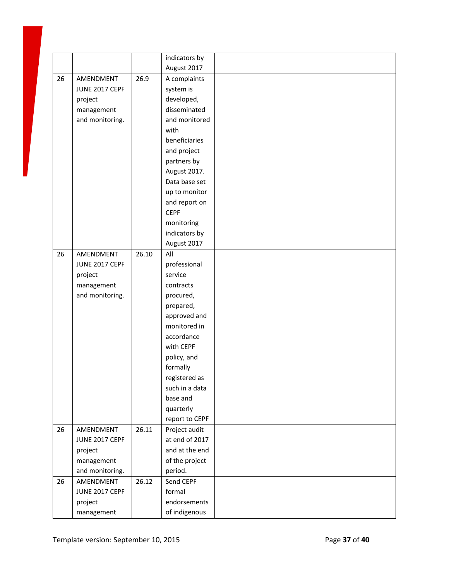|    |                 |       | indicators by  |  |
|----|-----------------|-------|----------------|--|
|    |                 |       | August 2017    |  |
| 26 | AMENDMENT       | 26.9  | A complaints   |  |
|    | JUNE 2017 CEPF  |       | system is      |  |
|    | project         |       | developed,     |  |
|    | management      |       | disseminated   |  |
|    | and monitoring. |       | and monitored  |  |
|    |                 |       | with           |  |
|    |                 |       | beneficiaries  |  |
|    |                 |       | and project    |  |
|    |                 |       | partners by    |  |
|    |                 |       | August 2017.   |  |
|    |                 |       | Data base set  |  |
|    |                 |       | up to monitor  |  |
|    |                 |       | and report on  |  |
|    |                 |       | <b>CEPF</b>    |  |
|    |                 |       | monitoring     |  |
|    |                 |       | indicators by  |  |
|    |                 |       | August 2017    |  |
| 26 | AMENDMENT       | 26.10 | All            |  |
|    | JUNE 2017 CEPF  |       | professional   |  |
|    | project         |       | service        |  |
|    | management      |       | contracts      |  |
|    | and monitoring. |       | procured,      |  |
|    |                 |       | prepared,      |  |
|    |                 |       | approved and   |  |
|    |                 |       | monitored in   |  |
|    |                 |       | accordance     |  |
|    |                 |       | with CEPF      |  |
|    |                 |       | policy, and    |  |
|    |                 |       | formally       |  |
|    |                 |       | registered as  |  |
|    |                 |       | such in a data |  |
|    |                 |       | base and       |  |
|    |                 |       | quarterly      |  |
|    |                 |       | report to CEPF |  |
| 26 | AMENDMENT       | 26.11 | Project audit  |  |
|    | JUNE 2017 CEPF  |       | at end of 2017 |  |
|    | project         |       | and at the end |  |
|    | management      |       | of the project |  |
|    | and monitoring. |       | period.        |  |
| 26 | AMENDMENT       | 26.12 | Send CEPF      |  |
|    | JUNE 2017 CEPF  |       | formal         |  |
|    | project         |       | endorsements   |  |
|    | management      |       | of indigenous  |  |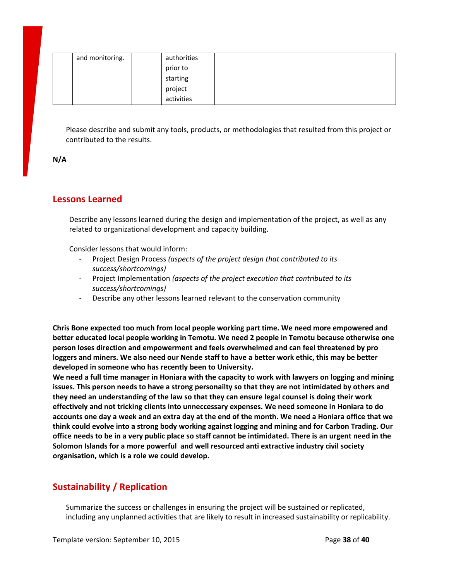| and monitoring. | authorities |  |
|-----------------|-------------|--|
|                 | prior to    |  |
|                 | starting    |  |
|                 | project     |  |
|                 | activities  |  |

Please describe and submit any tools, products, or methodologies that resulted from this project or contributed to the results.

**N/A**

# **Lessons Learned**

Describe any lessons learned during the design and implementation of the project, as well as any related to organizational development and capacity building.

Consider lessons that would inform:

- Project Design Process *(aspects of the project design that contributed to its success/shortcomings)*
- Project Implementation *(aspects of the project execution that contributed to its success/shortcomings)*
- Describe any other lessons learned relevant to the conservation community

**Chris Bone expected too much from local people working part time. We need more empowered and better educated local people working in Temotu. We need 2 people in Temotu because otherwise one person loses direction and empowerment and feels overwhelmed and can feel threatened by pro** loggers and miners. We also need our Nende staff to have a better work ethic, this may be better **developed in someone who has recently been to University.**

We need a full time manager in Honiara with the capacity to work with lawyers on logging and mining issues. This person needs to have a strong personailty so that they are not intimidated by others and **they need an understanding of the law so that they can ensure legal counsel is doing their work effectively and not tricking clients into unneccessary expenses. We need someone in Honiara to do** accounts one day a week and an extra day at the end of the month. We need a Honiara office that we **think could evolve into a strong body working against logging and mining and for Carbon Trading. Our** office needs to be in a very public place so staff cannot be intimidated. There is an urgent need in the **Solomon Islands for a more powerful and well resourced anti extractive industry civil society organisation, which is a role we could develop.**

# **Sustainability / Replication**

Summarize the success or challenges in ensuring the project will be sustained or replicated, including any unplanned activities that are likely to result in increased sustainability or replicability.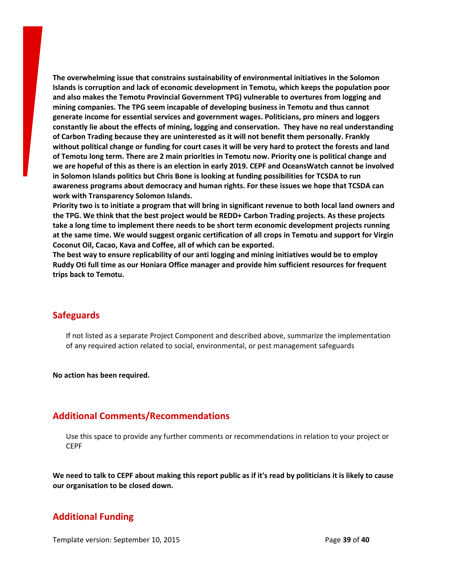**The overwhelming issue that constrains sustainability of environmental initiatives in the Solomon Islands is corruption and lack of economic development in Temotu, which keeps the population poor and also makes the Temotu Provincial Government TPG) vulnerable to overtures from logging and mining companies. The TPG seem incapable of developing business in Temotu and thus cannot generate income for essential services and government wages. Politicians, pro miners and loggers constantly lie about the effects of mining, logging and conservation. They have no real understanding of Carbon Trading because they are uninterested as it will not benefit them personally. Frankly** without political change or funding for court cases it will be very hard to protect the forests and land of Temotu long term. There are 2 main priorities in Temotu now. Priority one is political change and we are hopeful of this as there is an election in early 2019. CEPF and OceansWatch cannot be involved **in Solomon Islands politics but Chris Bone is looking at funding possibilities for TCSDA to run awareness programs about democracy and human rights. For these issues we hope that TCSDA can work with Transparency Solomon Islands.**

Priority two is to initiate a program that will bring in significant revenue to both local land owners and **the TPG. We think that the best project would be REDD+ Carbon Trading projects. As these projects take a long time to implement there needs to be short term economic development projects running** at the same time. We would suggest organic certification of all crops in Temotu and support for Virgin **Coconut Oil, Cacao, Kava and Coffee, all of which can be exported.**

**The best way to ensure replicability of our anti logging and mining initiatives would be to employ Ruddy Oti full time as our Honiara Office manager and provide him sufficient resources for frequent trips back to Temotu.**

#### **Safeguards**

If not listed as a separate Project Component and described above, summarize the implementation of any required action related to social, environmental, or pest management safeguards

**No action has been required.**

#### **Additional Comments/Recommendations**

Use this space to provide any further comments or recommendations in relation to your project or **CEPF** 

We need to talk to CEPF about making this report public as if it's read by politicians it is likely to cause **our organisation to be closed down.**

## **Additional Funding**